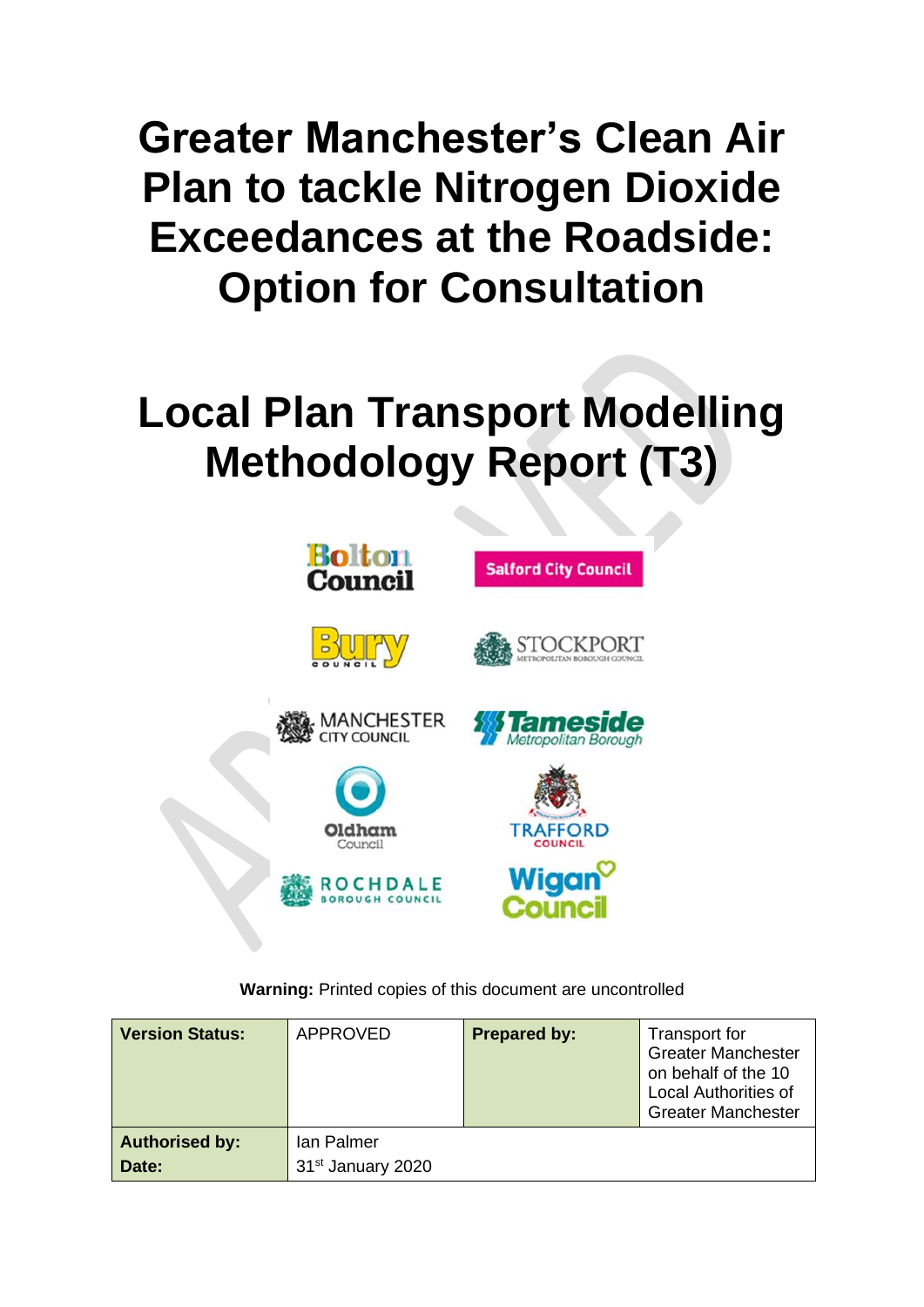# **Greater Manchester's Clean Air Plan to tackle Nitrogen Dioxide Exceedances at the Roadside: Option for Consultation**

# **Local Plan Transport Modelling Methodology Report (T3)**



**Warning:** Printed copies of this document are uncontrolled

| <b>Version Status:</b> | <b>APPROVED</b>               | <b>Prepared by:</b> | Transport for<br><b>Greater Manchester</b><br>on behalf of the 10<br><b>Local Authorities of</b><br><b>Greater Manchester</b> |
|------------------------|-------------------------------|---------------------|-------------------------------------------------------------------------------------------------------------------------------|
| <b>Authorised by:</b>  | Ian Palmer                    |                     |                                                                                                                               |
| Date:                  | 31 <sup>st</sup> January 2020 |                     |                                                                                                                               |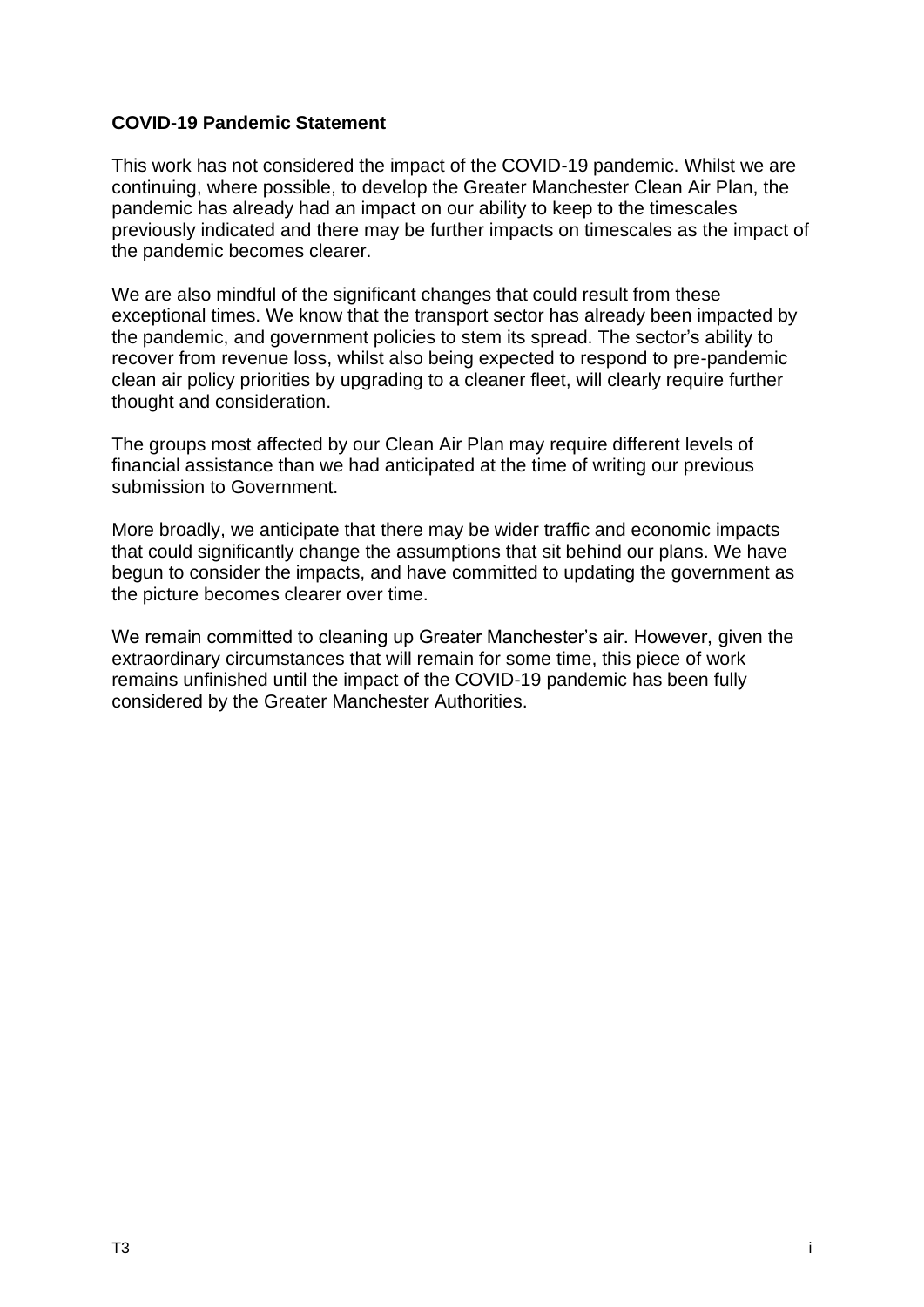### **COVID-19 Pandemic Statement**

This work has not considered the impact of the COVID-19 pandemic. Whilst we are continuing, where possible, to develop the Greater Manchester Clean Air Plan, the pandemic has already had an impact on our ability to keep to the timescales previously indicated and there may be further impacts on timescales as the impact of the pandemic becomes clearer.

We are also mindful of the significant changes that could result from these exceptional times. We know that the transport sector has already been impacted by the pandemic, and government policies to stem its spread. The sector's ability to recover from revenue loss, whilst also being expected to respond to pre-pandemic clean air policy priorities by upgrading to a cleaner fleet, will clearly require further thought and consideration.

The groups most affected by our Clean Air Plan may require different levels of financial assistance than we had anticipated at the time of writing our previous submission to Government.

More broadly, we anticipate that there may be wider traffic and economic impacts that could significantly change the assumptions that sit behind our plans. We have begun to consider the impacts, and have committed to updating the government as the picture becomes clearer over time.

We remain committed to cleaning up Greater Manchester's air. However, given the extraordinary circumstances that will remain for some time, this piece of work remains unfinished until the impact of the COVID-19 pandemic has been fully considered by the Greater Manchester Authorities.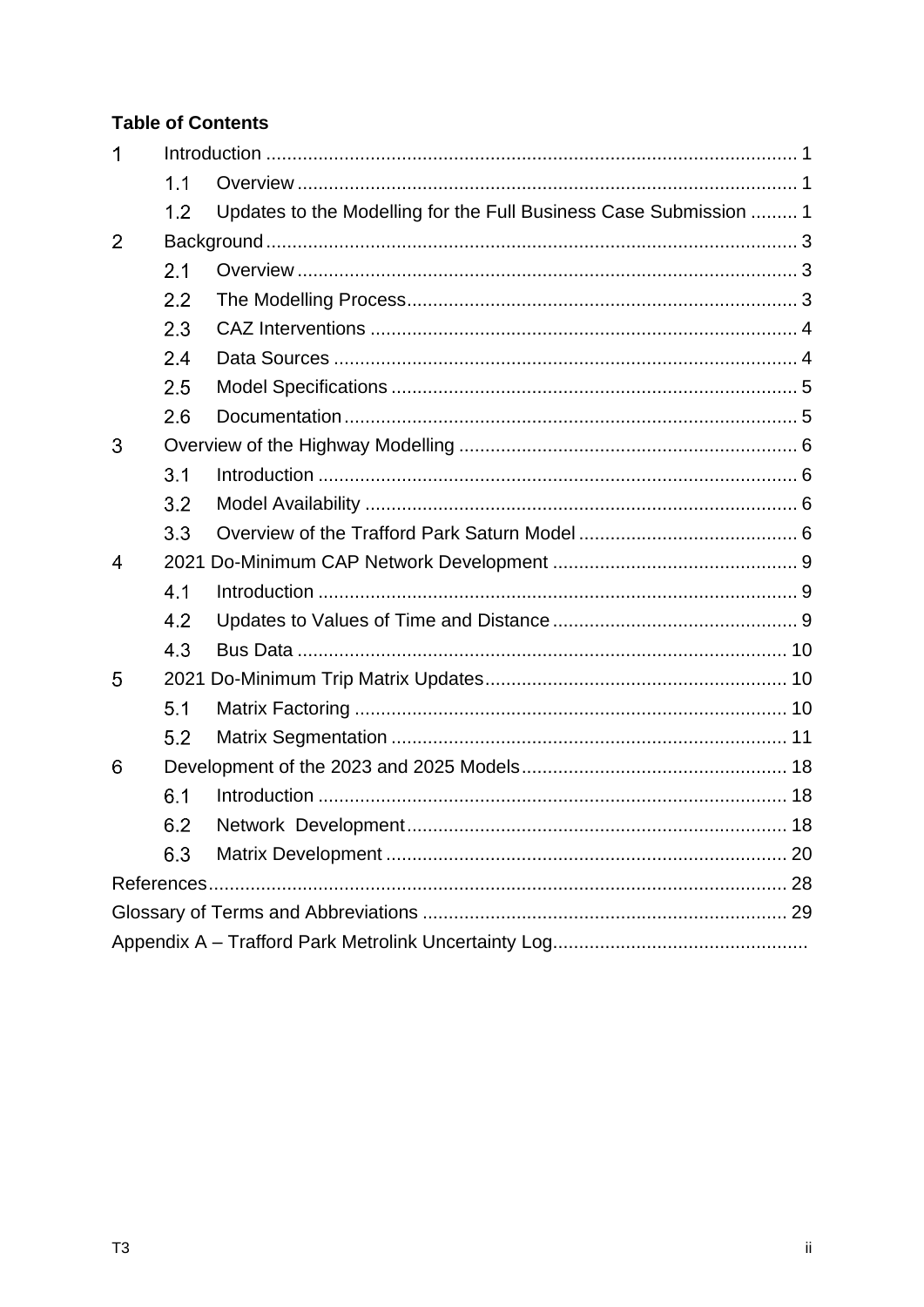## **Table of Contents**

| 1 |                  |                                                                   |  |
|---|------------------|-------------------------------------------------------------------|--|
|   | 1.1              |                                                                   |  |
|   | 1.2              | Updates to the Modelling for the Full Business Case Submission  1 |  |
| 2 |                  |                                                                   |  |
|   | 2.1              |                                                                   |  |
|   | $2.2\phantom{0}$ |                                                                   |  |
|   | 2.3              |                                                                   |  |
|   | 2.4              |                                                                   |  |
|   | 2.5              |                                                                   |  |
|   | 2.6              |                                                                   |  |
| 3 |                  |                                                                   |  |
|   | 3.1              |                                                                   |  |
|   | 3.2              |                                                                   |  |
|   | 3.3              |                                                                   |  |
| 4 |                  |                                                                   |  |
|   | 4.1              |                                                                   |  |
|   | 4.2              |                                                                   |  |
|   | 4.3              |                                                                   |  |
| 5 |                  |                                                                   |  |
|   | 5.1              |                                                                   |  |
|   | 5.2              |                                                                   |  |
| 6 |                  |                                                                   |  |
|   | 6.1              |                                                                   |  |
|   | 6.2              |                                                                   |  |
|   | 6.3              |                                                                   |  |
|   |                  |                                                                   |  |
|   |                  |                                                                   |  |
|   |                  |                                                                   |  |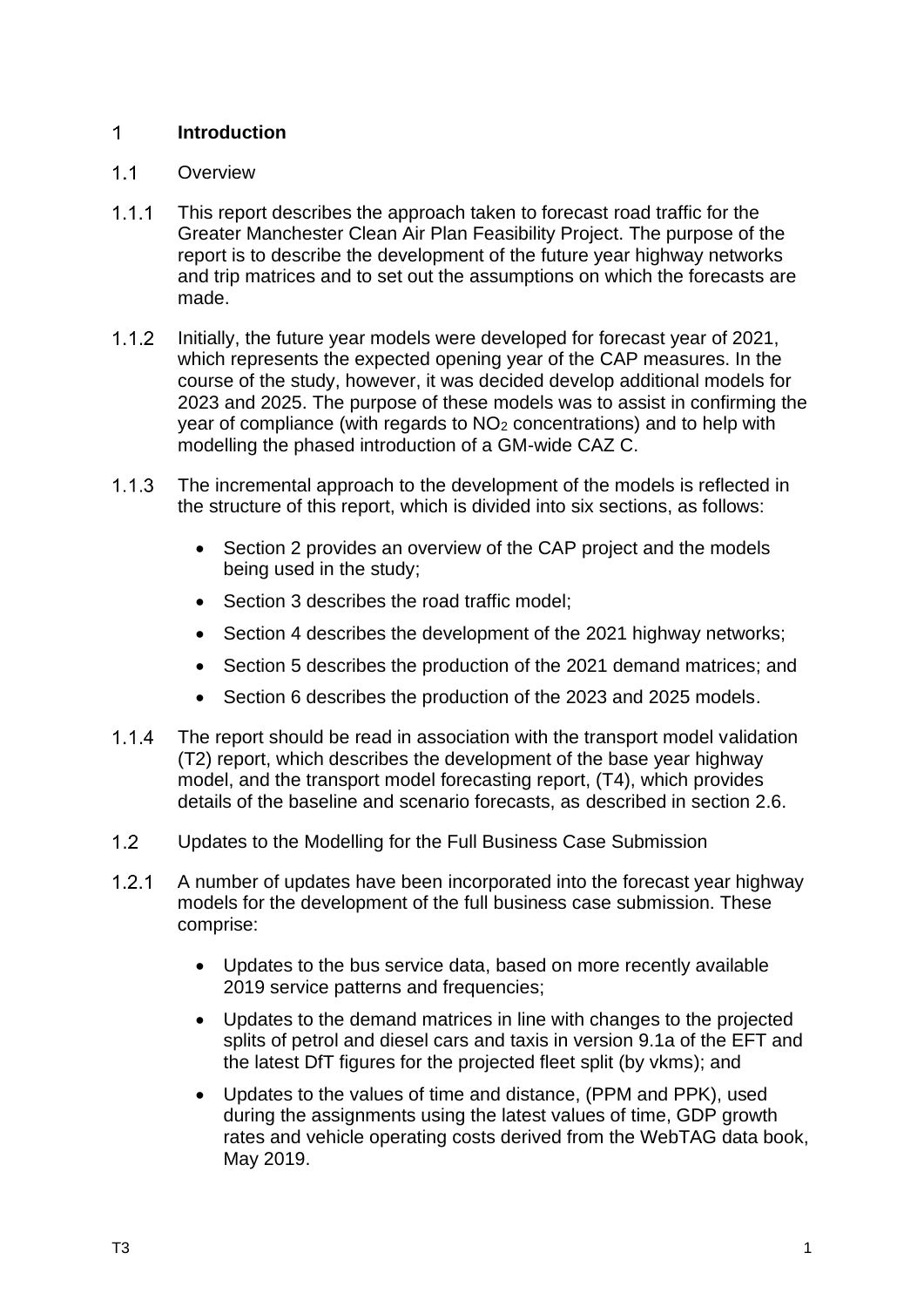#### <span id="page-3-0"></span> $\mathbf 1$ **Introduction**

#### <span id="page-3-1"></span> $1.1$ **Overview**

- $1.1.1$ This report describes the approach taken to forecast road traffic for the Greater Manchester Clean Air Plan Feasibility Project. The purpose of the report is to describe the development of the future year highway networks and trip matrices and to set out the assumptions on which the forecasts are made.
- $1.1.2$ Initially, the future year models were developed for forecast year of 2021, which represents the expected opening year of the CAP measures. In the course of the study, however, it was decided develop additional models for 2023 and 2025. The purpose of these models was to assist in confirming the year of compliance (with regards to  $NO<sub>2</sub>$  concentrations) and to help with modelling the phased introduction of a GM-wide CAZ C.
- $1.1.3$ The incremental approach to the development of the models is reflected in the structure of this report, which is divided into six sections, as follows:
	- Section 2 provides an overview of the CAP project and the models being used in the study;
	- Section 3 describes the road traffic model:
	- Section 4 describes the development of the 2021 highway networks;
	- Section 5 describes the production of the 2021 demand matrices; and
	- Section 6 describes the production of the 2023 and 2025 models.
- $1.1.4$ The report should be read in association with the transport model validation (T2) report, which describes the development of the base year highway model, and the transport model forecasting report, (T4), which provides details of the baseline and scenario forecasts, as described in section 2.6.
- <span id="page-3-2"></span> $1.2<sup>1</sup>$ Updates to the Modelling for the Full Business Case Submission
- A number of updates have been incorporated into the forecast year highway  $1.2.1$ models for the development of the full business case submission. These comprise:
	- Updates to the bus service data, based on more recently available 2019 service patterns and frequencies;
	- Updates to the demand matrices in line with changes to the projected splits of petrol and diesel cars and taxis in version 9.1a of the EFT and the latest DfT figures for the projected fleet split (by vkms); and
	- Updates to the values of time and distance, (PPM and PPK), used during the assignments using the latest values of time, GDP growth rates and vehicle operating costs derived from the WebTAG data book, May 2019.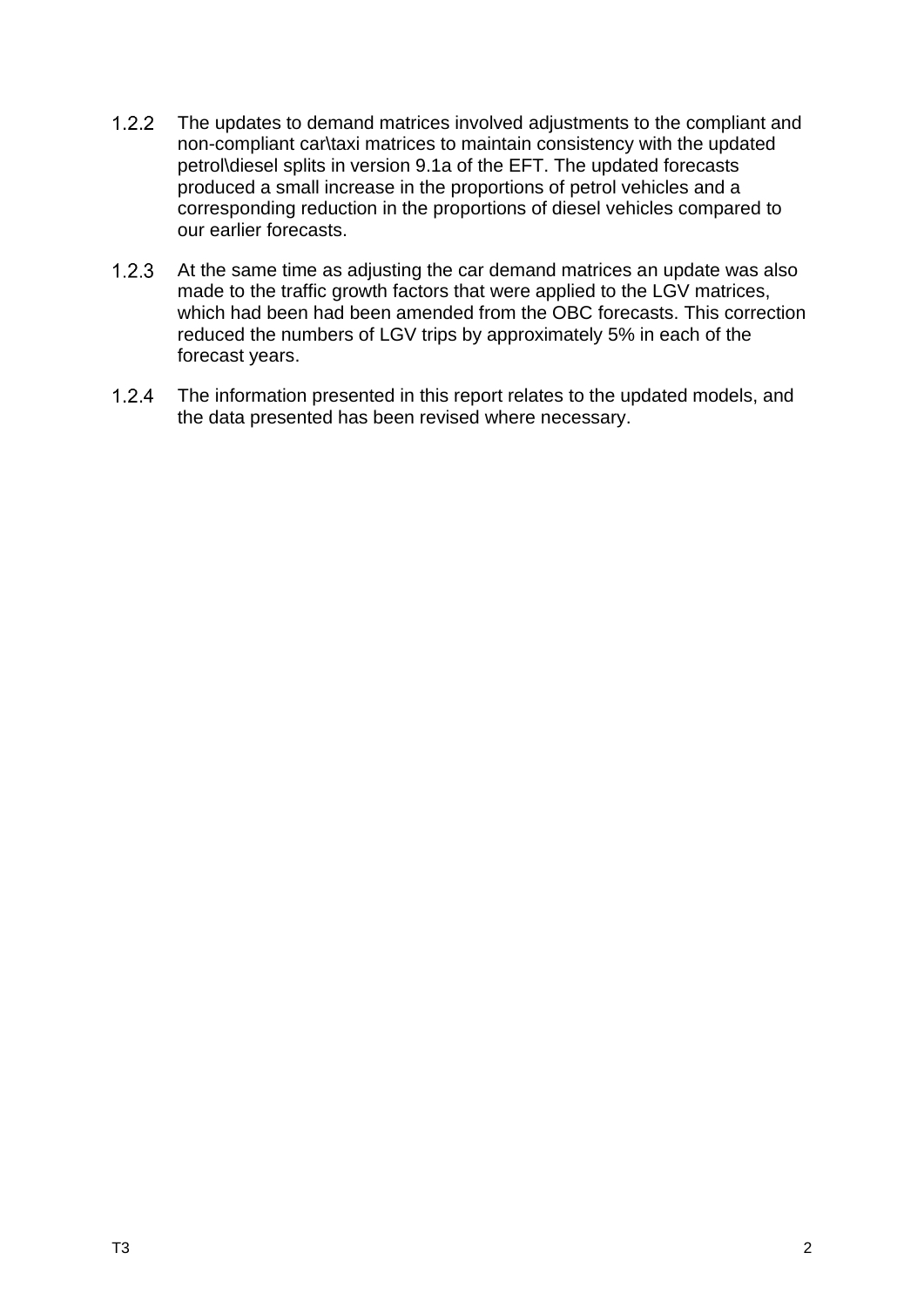- $1.2.2$ The updates to demand matrices involved adjustments to the compliant and non-compliant car\taxi matrices to maintain consistency with the updated petrol\diesel splits in version 9.1a of the EFT. The updated forecasts produced a small increase in the proportions of petrol vehicles and a corresponding reduction in the proportions of diesel vehicles compared to our earlier forecasts.
- $1.2.3$ At the same time as adjusting the car demand matrices an update was also made to the traffic growth factors that were applied to the LGV matrices, which had been had been amended from the OBC forecasts. This correction reduced the numbers of LGV trips by approximately 5% in each of the forecast years.
- $1.2.4$ The information presented in this report relates to the updated models, and the data presented has been revised where necessary.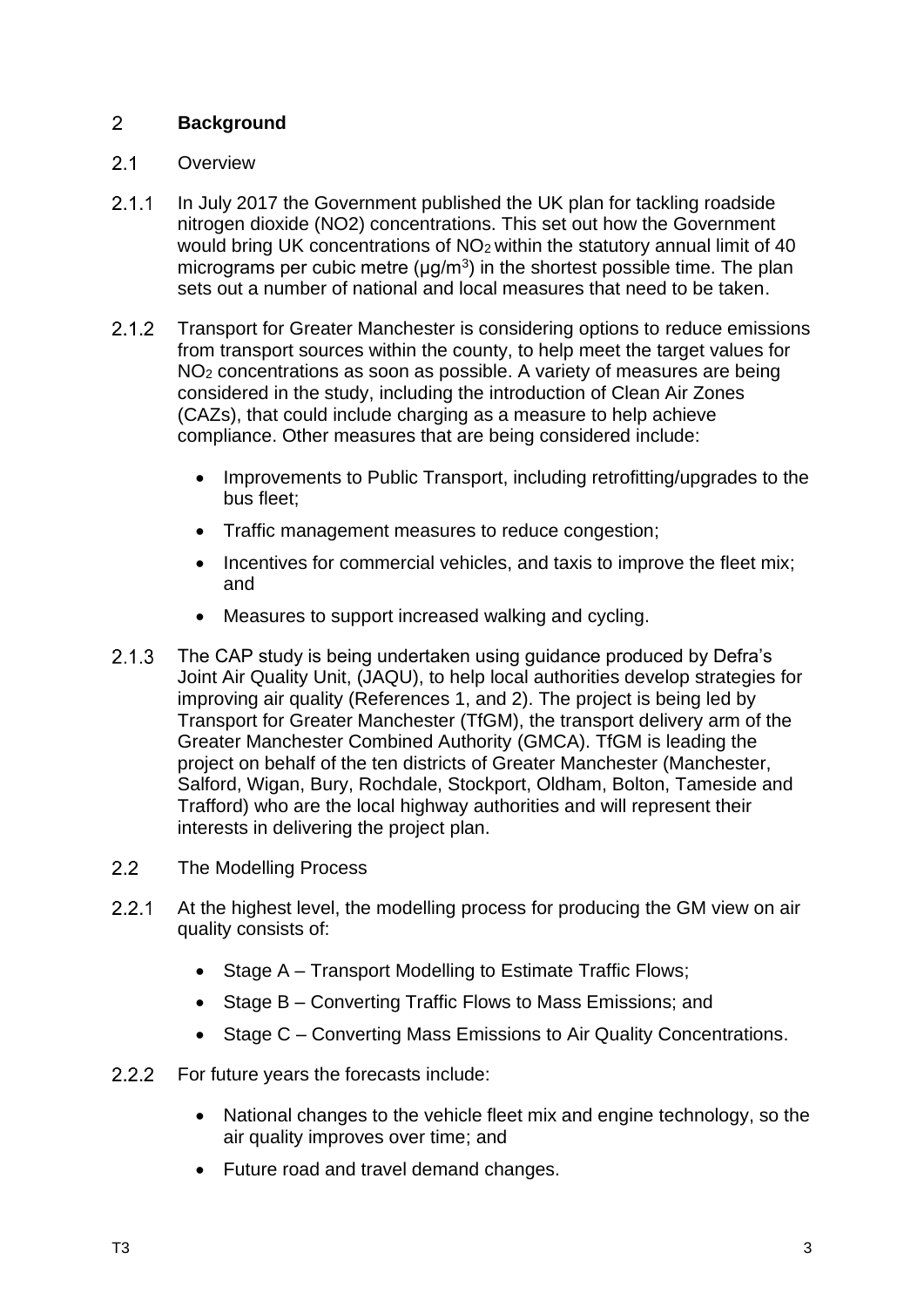#### <span id="page-5-0"></span> $\overline{2}$ **Background**

#### <span id="page-5-1"></span> $2.1$ **Overview**

- $2.1.1$ In July 2017 the Government published the UK plan for tackling roadside nitrogen dioxide (NO2) concentrations. This set out how the Government would bring UK concentrations of NO<sub>2</sub> within the statutory annual limit of 40 micrograms per cubic metre  $(\mu g/m^3)$  in the shortest possible time. The plan sets out a number of national and local measures that need to be taken.
- Transport for Greater Manchester is considering options to reduce emissions  $2.1.2$ from transport sources within the county, to help meet the target values for NO<sup>2</sup> concentrations as soon as possible. A variety of measures are being considered in the study, including the introduction of Clean Air Zones (CAZs), that could include charging as a measure to help achieve compliance. Other measures that are being considered include:
	- Improvements to Public Transport, including retrofitting/upgrades to the bus fleet;
	- Traffic management measures to reduce congestion;
	- Incentives for commercial vehicles, and taxis to improve the fleet mix; and
	- Measures to support increased walking and cycling.
- $2.1.3$ The CAP study is being undertaken using guidance produced by Defra's Joint Air Quality Unit, (JAQU), to help local authorities develop strategies for improving air quality (References 1, and 2). The project is being led by Transport for Greater Manchester (TfGM), the transport delivery arm of the Greater Manchester Combined Authority (GMCA). TfGM is leading the project on behalf of the ten districts of Greater Manchester (Manchester, Salford, Wigan, Bury, Rochdale, Stockport, Oldham, Bolton, Tameside and Trafford) who are the local highway authorities and will represent their interests in delivering the project plan.
- <span id="page-5-2"></span> $2.2$ The Modelling Process
- $2.2.1$ At the highest level, the modelling process for producing the GM view on air quality consists of:
	- Stage A Transport Modelling to Estimate Traffic Flows:
	- Stage B Converting Traffic Flows to Mass Emissions; and
	- Stage C Converting Mass Emissions to Air Quality Concentrations.
- $2.2.2$ For future years the forecasts include:
	- National changes to the vehicle fleet mix and engine technology, so the air quality improves over time; and
	- Future road and travel demand changes.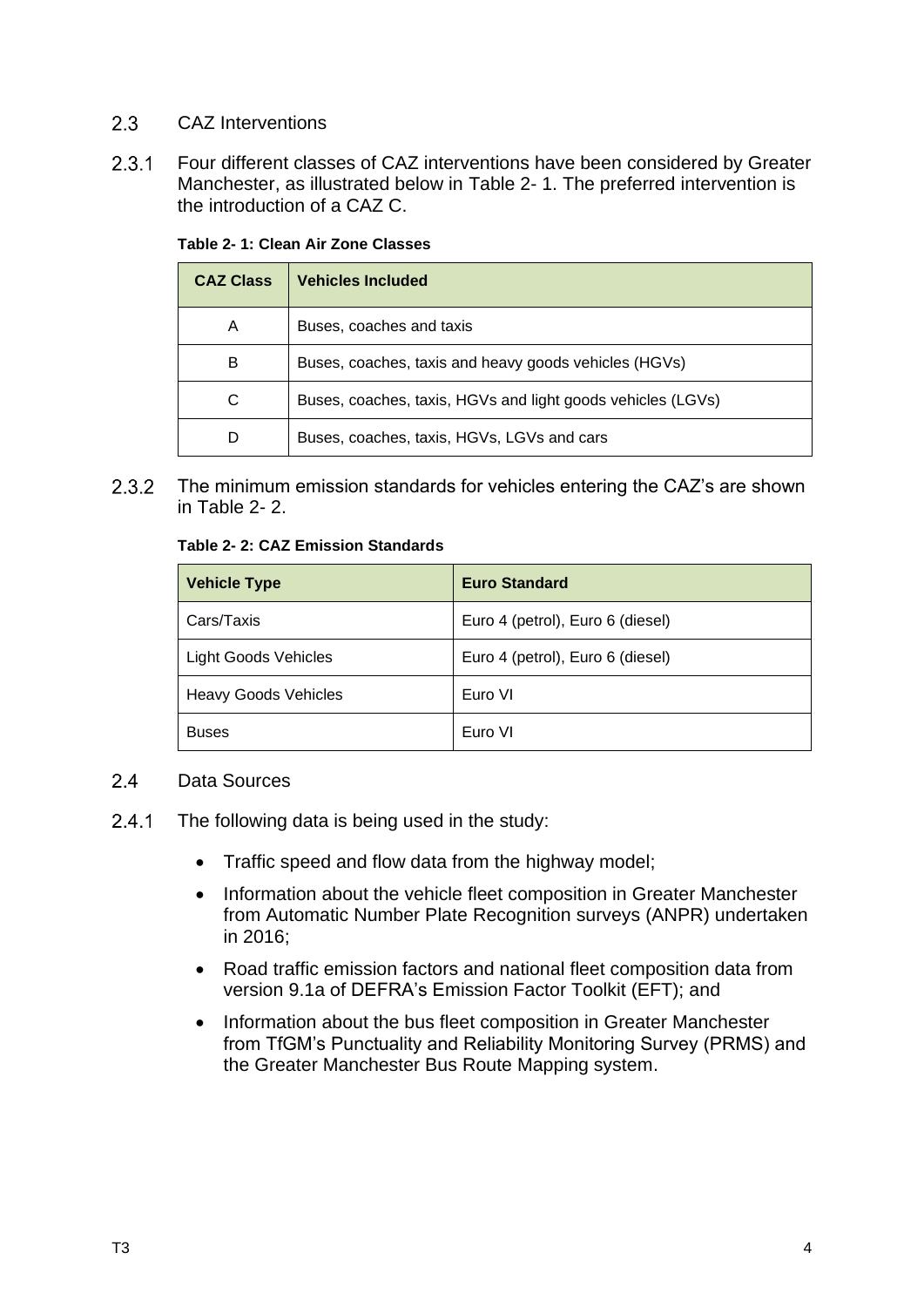#### <span id="page-6-0"></span> $2.3$ CAZ Interventions

 $2.3.1$ Four different classes of CAZ interventions have been considered by Greater Manchester, as illustrated below in [Table 2-](#page-6-2) 1. The preferred intervention is the introduction of a CAZ C.

| <b>CAZ Class</b> | <b>Vehicles Included</b>                                    |
|------------------|-------------------------------------------------------------|
| A                | Buses, coaches and taxis                                    |
| B                | Buses, coaches, taxis and heavy goods vehicles (HGVs)       |
| С                | Buses, coaches, taxis, HGVs and light goods vehicles (LGVs) |
|                  | Buses, coaches, taxis, HGVs, LGVs and cars                  |

<span id="page-6-2"></span>**Table 2- 1: Clean Air Zone Classes**

<span id="page-6-3"></span> $2.3.2$ The minimum emission standards for vehicles entering the CAZ's are shown in [Table 2-](#page-6-3) 2.

### **Table 2- 2: CAZ Emission Standards**

| <b>Vehicle Type</b>         | <b>Euro Standard</b>             |
|-----------------------------|----------------------------------|
| Cars/Taxis                  | Euro 4 (petrol), Euro 6 (diesel) |
| <b>Light Goods Vehicles</b> | Euro 4 (petrol), Euro 6 (diesel) |
| <b>Heavy Goods Vehicles</b> | Euro VI                          |
| <b>Buses</b>                | Euro VI                          |

#### <span id="page-6-1"></span> $2.4$ Data Sources

- $2.4.1$ The following data is being used in the study:
	- Traffic speed and flow data from the highway model;
	- Information about the vehicle fleet composition in Greater Manchester from Automatic Number Plate Recognition surveys (ANPR) undertaken in 2016;
	- Road traffic emission factors and national fleet composition data from version 9.1a of DEFRA's Emission Factor Toolkit (EFT); and
	- Information about the bus fleet composition in Greater Manchester from TfGM's Punctuality and Reliability Monitoring Survey (PRMS) and the Greater Manchester Bus Route Mapping system.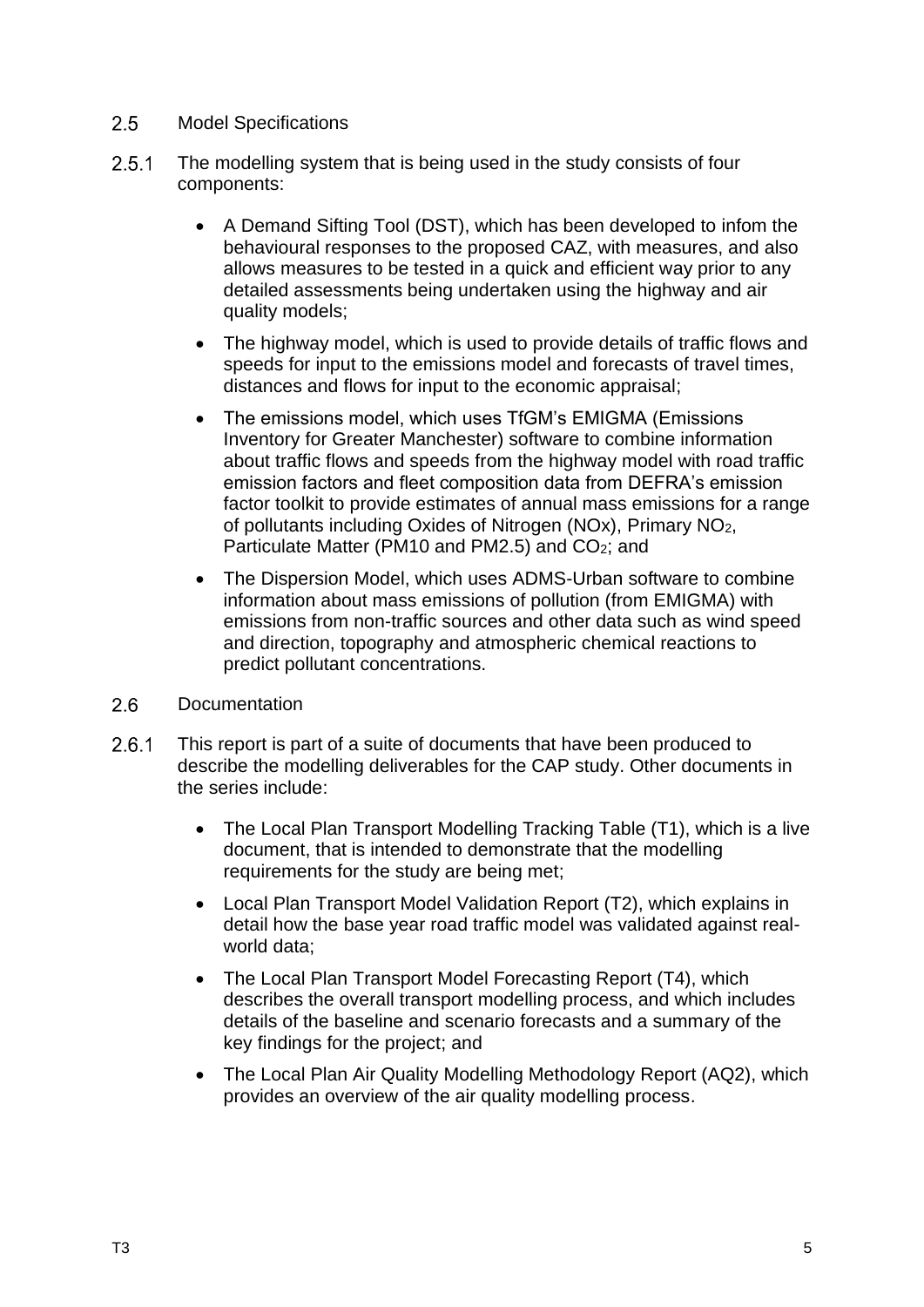#### <span id="page-7-0"></span> $2.5$ Model Specifications

- $2.5.1$ The modelling system that is being used in the study consists of four components:
	- A Demand Sifting Tool (DST), which has been developed to infom the behavioural responses to the proposed CAZ, with measures, and also allows measures to be tested in a quick and efficient way prior to any detailed assessments being undertaken using the highway and air quality models;
	- The highway model, which is used to provide details of traffic flows and speeds for input to the emissions model and forecasts of travel times, distances and flows for input to the economic appraisal;
	- The emissions model, which uses TfGM's EMIGMA (Emissions Inventory for Greater Manchester) software to combine information about traffic flows and speeds from the highway model with road traffic emission factors and fleet composition data from DEFRA's emission factor toolkit to provide estimates of annual mass emissions for a range of pollutants including Oxides of Nitrogen (NOx), Primary NO2, Particulate Matter (PM10 and PM2.5) and CO2; and
	- The Dispersion Model, which uses ADMS-Urban software to combine information about mass emissions of pollution (from EMIGMA) with emissions from non-traffic sources and other data such as wind speed and direction, topography and atmospheric chemical reactions to predict pollutant concentrations.
- <span id="page-7-1"></span> $2.6$ **Documentation**
- $2.6.1$ This report is part of a suite of documents that have been produced to describe the modelling deliverables for the CAP study. Other documents in the series include:
	- The Local Plan Transport Modelling Tracking Table (T1), which is a live document, that is intended to demonstrate that the modelling requirements for the study are being met;
	- Local Plan Transport Model Validation Report (T2), which explains in detail how the base year road traffic model was validated against realworld data;
	- The Local Plan Transport Model Forecasting Report (T4), which describes the overall transport modelling process, and which includes details of the baseline and scenario forecasts and a summary of the key findings for the project; and
	- The Local Plan Air Quality Modelling Methodology Report (AQ2), which provides an overview of the air quality modelling process.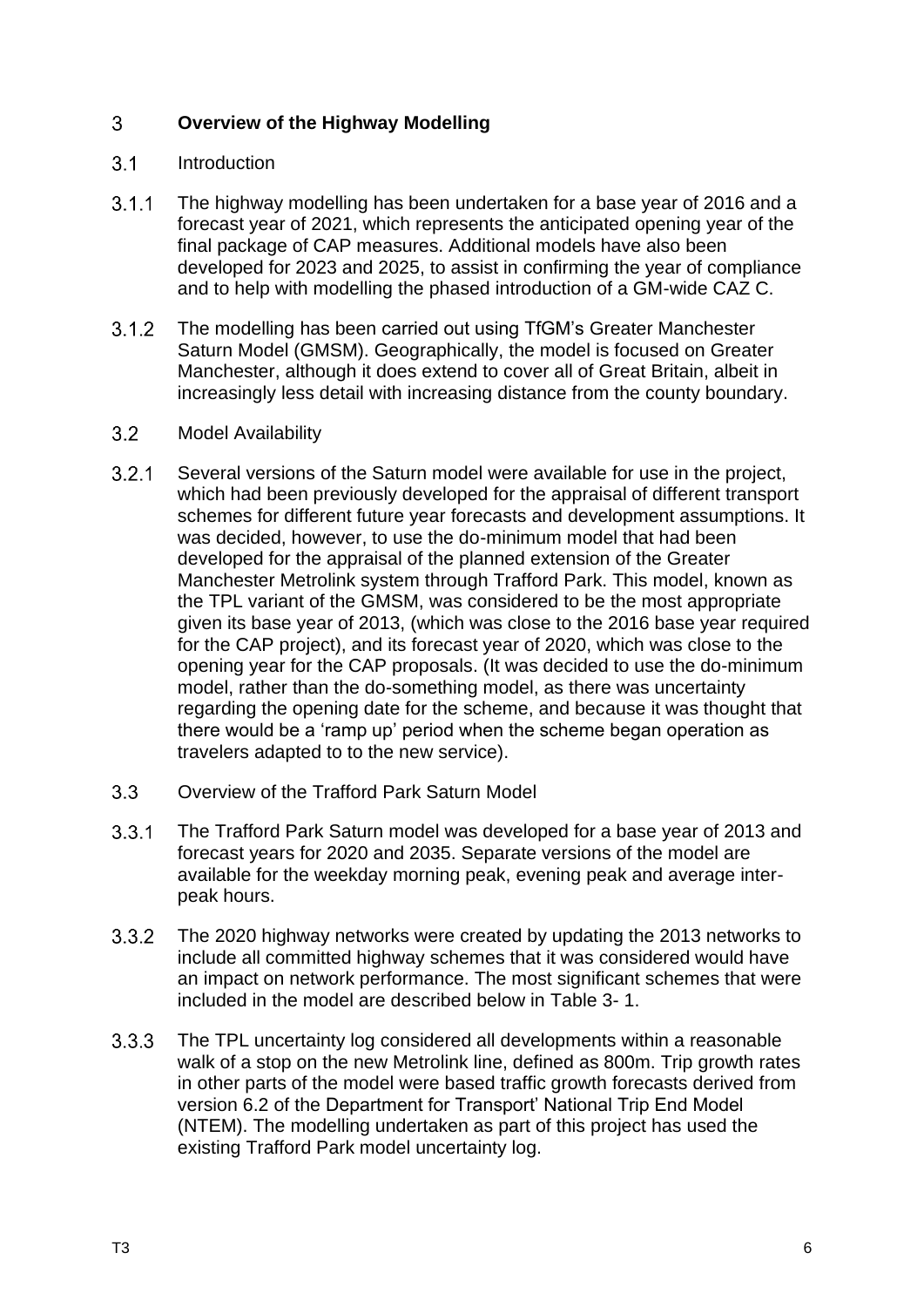#### <span id="page-8-0"></span> $\overline{3}$ **Overview of the Highway Modelling**

#### <span id="page-8-1"></span> $3.1$ Introduction

- $3.1.1$ The highway modelling has been undertaken for a base year of 2016 and a forecast year of 2021, which represents the anticipated opening year of the final package of CAP measures. Additional models have also been developed for 2023 and 2025, to assist in confirming the year of compliance and to help with modelling the phased introduction of a GM-wide CAZ C.
- The modelling has been carried out using TfGM's Greater Manchester  $3.1.2$ Saturn Model (GMSM). Geographically, the model is focused on Greater Manchester, although it does extend to cover all of Great Britain, albeit in increasingly less detail with increasing distance from the county boundary.

#### <span id="page-8-2"></span> $3.2$ Model Availability

- $3.2.1$ Several versions of the Saturn model were available for use in the project, which had been previously developed for the appraisal of different transport schemes for different future year forecasts and development assumptions. It was decided, however, to use the do-minimum model that had been developed for the appraisal of the planned extension of the Greater Manchester Metrolink system through Trafford Park. This model, known as the TPL variant of the GMSM, was considered to be the most appropriate given its base year of 2013, (which was close to the 2016 base year required for the CAP project), and its forecast year of 2020, which was close to the opening year for the CAP proposals. (It was decided to use the do-minimum model, rather than the do-something model, as there was uncertainty regarding the opening date for the scheme, and because it was thought that there would be a 'ramp up' period when the scheme began operation as travelers adapted to to the new service).
- <span id="page-8-3"></span> $3.3<sup>°</sup>$ Overview of the Trafford Park Saturn Model
- $3.3.1$ The Trafford Park Saturn model was developed for a base year of 2013 and forecast years for 2020 and 2035. Separate versions of the model are available for the weekday morning peak, evening peak and average interpeak hours.
- $3.3.2$ The 2020 highway networks were created by updating the 2013 networks to include all committed highway schemes that it was considered would have an impact on network performance. The most significant schemes that were included in the model are described below in [Table 3-](#page-10-0) 1.
- $3.3.3$ The TPL uncertainty log considered all developments within a reasonable walk of a stop on the new Metrolink line, defined as 800m. Trip growth rates in other parts of the model were based traffic growth forecasts derived from version 6.2 of the Department for Transport' National Trip End Model (NTEM). The modelling undertaken as part of this project has used the existing Trafford Park model uncertainty log.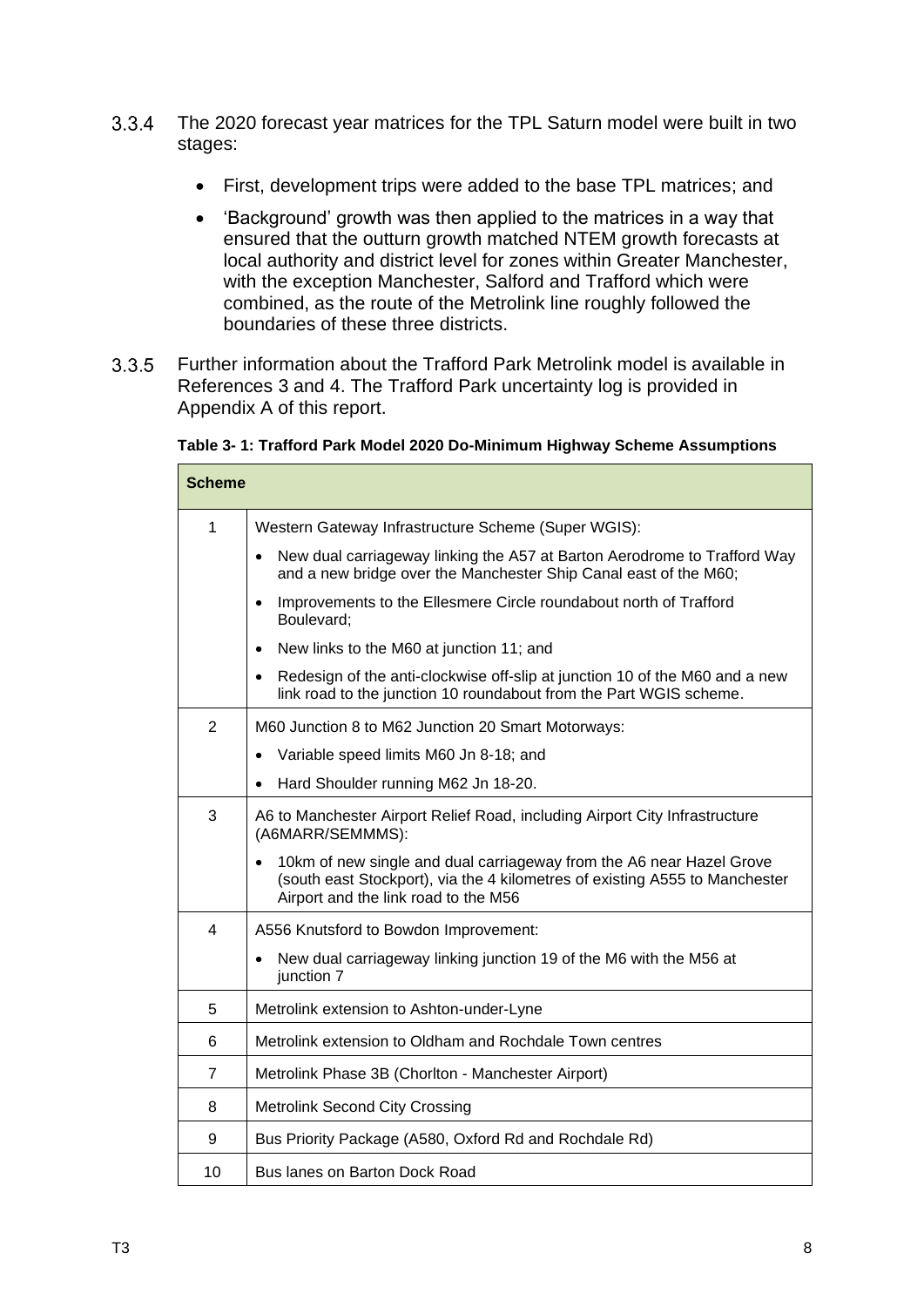- $3.3.4$ The 2020 forecast year matrices for the TPL Saturn model were built in two stages:
	- First, development trips were added to the base TPL matrices; and
	- 'Background' growth was then applied to the matrices in a way that ensured that the outturn growth matched NTEM growth forecasts at local authority and district level for zones within Greater Manchester, with the exception Manchester, Salford and Trafford which were combined, as the route of the Metrolink line roughly followed the boundaries of these three districts.
- $3.3.5$ Further information about the Trafford Park Metrolink model is available in References 3 and 4. The Trafford Park uncertainty log is provided in Appendix A of this report.

<span id="page-10-0"></span>

|  | Table 3- 1: Trafford Park Model 2020 Do-Minimum Highway Scheme Assumptions |  |
|--|----------------------------------------------------------------------------|--|
|  |                                                                            |  |

| <b>Scheme</b>  |                                                                                                                                                                                             |
|----------------|---------------------------------------------------------------------------------------------------------------------------------------------------------------------------------------------|
| 1              | Western Gateway Infrastructure Scheme (Super WGIS):                                                                                                                                         |
|                | New dual carriageway linking the A57 at Barton Aerodrome to Trafford Way<br>$\bullet$<br>and a new bridge over the Manchester Ship Canal east of the M60;                                   |
|                | Improvements to the Ellesmere Circle roundabout north of Trafford<br>$\bullet$<br>Boulevard:                                                                                                |
|                | New links to the M60 at junction 11; and<br>$\bullet$                                                                                                                                       |
|                | Redesign of the anti-clockwise off-slip at junction 10 of the M60 and a new<br>link road to the junction 10 roundabout from the Part WGIS scheme.                                           |
| $\overline{2}$ | M60 Junction 8 to M62 Junction 20 Smart Motorways:                                                                                                                                          |
|                | Variable speed limits M60 Jn 8-18; and                                                                                                                                                      |
|                | Hard Shoulder running M62 Jn 18-20.                                                                                                                                                         |
| 3              | A6 to Manchester Airport Relief Road, including Airport City Infrastructure<br>(A6MARR/SEMMMS):                                                                                             |
|                | 10km of new single and dual carriageway from the A6 near Hazel Grove<br>(south east Stockport), via the 4 kilometres of existing A555 to Manchester<br>Airport and the link road to the M56 |
| $\overline{4}$ | A556 Knutsford to Bowdon Improvement:                                                                                                                                                       |
|                | New dual carriageway linking junction 19 of the M6 with the M56 at<br>junction 7                                                                                                            |
| 5              | Metrolink extension to Ashton-under-Lyne                                                                                                                                                    |
| 6              | Metrolink extension to Oldham and Rochdale Town centres                                                                                                                                     |
| $\overline{7}$ | Metrolink Phase 3B (Chorlton - Manchester Airport)                                                                                                                                          |
| 8              | <b>Metrolink Second City Crossing</b>                                                                                                                                                       |
| 9              | Bus Priority Package (A580, Oxford Rd and Rochdale Rd)                                                                                                                                      |
| 10             | Bus lanes on Barton Dock Road                                                                                                                                                               |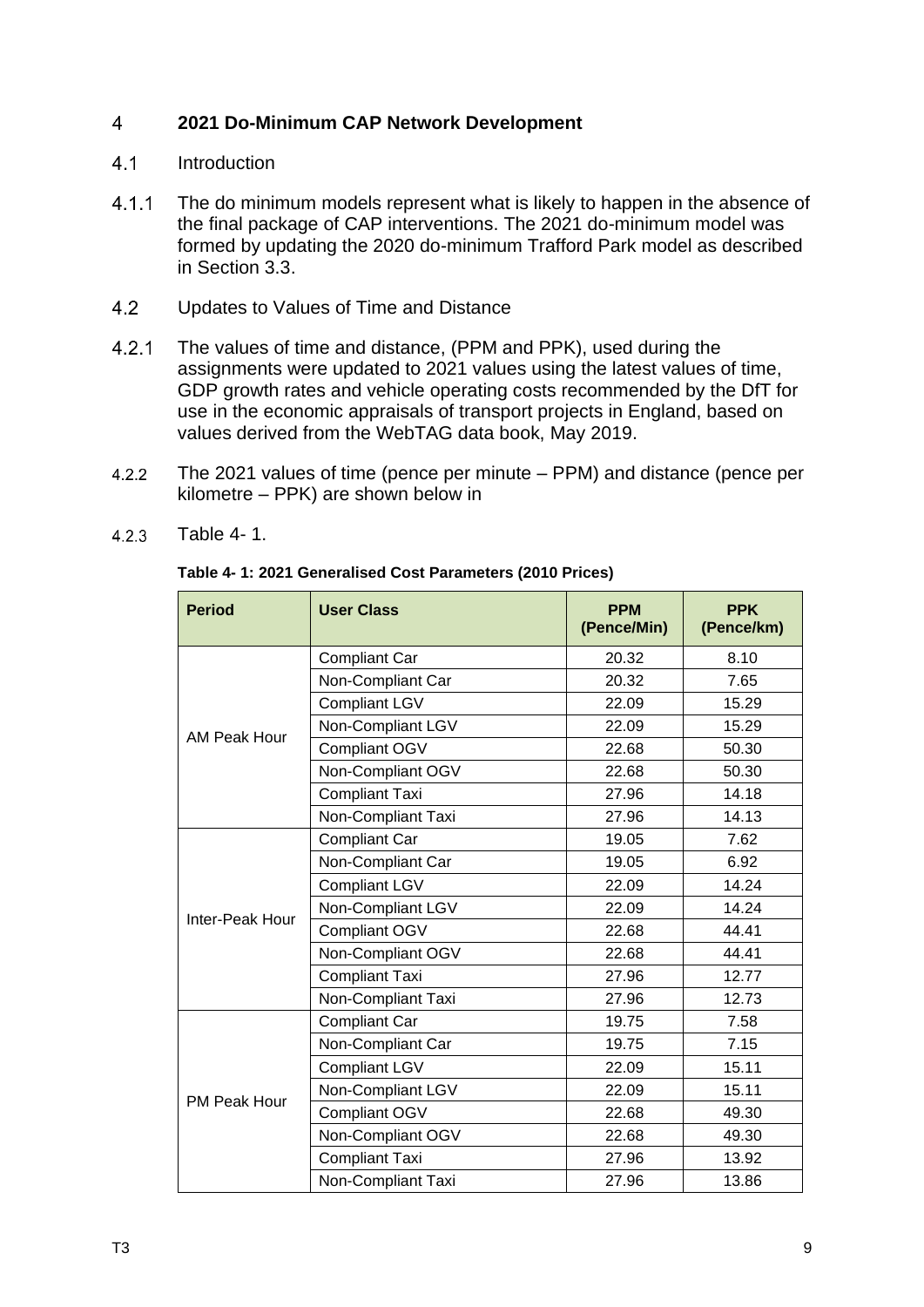#### <span id="page-11-0"></span> $\overline{4}$ **2021 Do-Minimum CAP Network Development**

- <span id="page-11-1"></span> $4.1$ Introduction
- $4.1.1$ The do minimum models represent what is likely to happen in the absence of the final package of CAP interventions. The 2021 do-minimum model was formed by updating the 2020 do-minimum Trafford Park model as described in Section 3.3.
- <span id="page-11-2"></span> $4.2$ Updates to Values of Time and Distance
- $4.2.1$ The values of time and distance, (PPM and PPK), used during the assignments were updated to 2021 values using the latest values of time, GDP growth rates and vehicle operating costs recommended by the DfT for use in the economic appraisals of transport projects in England, based on values derived from the WebTAG data book, May 2019.
- $4.2.2$ The 2021 values of time (pence per minute – [PPM\) and distance \(pence per](#page-11-3)  kilometre – PPK) are shown below in

| <b>Period</b>       | <b>User Class</b>     | <b>PPM</b><br>(Pence/Min) | <b>PPK</b><br>(Pence/km) |
|---------------------|-----------------------|---------------------------|--------------------------|
|                     | <b>Compliant Car</b>  | 20.32                     | 8.10                     |
| AM Peak Hour        | Non-Compliant Car     | 20.32                     | 7.65                     |
|                     | <b>Compliant LGV</b>  | 22.09                     | 15.29                    |
|                     | Non-Compliant LGV     | 22.09                     | 15.29                    |
|                     | Compliant OGV         | 22.68                     | 50.30                    |
|                     | Non-Compliant OGV     | 22.68                     | 50.30                    |
|                     | <b>Compliant Taxi</b> | 27.96                     | 14.18                    |
|                     | Non-Compliant Taxi    | 27.96                     | 14.13                    |
|                     | <b>Compliant Car</b>  | 19.05                     | 7.62                     |
|                     | Non-Compliant Car     | 19.05                     | 6.92                     |
|                     | <b>Compliant LGV</b>  | 22.09                     | 14.24                    |
| Inter-Peak Hour     | Non-Compliant LGV     | 22.09                     | 14.24                    |
|                     | Compliant OGV         | 22.68                     | 44.41                    |
|                     | Non-Compliant OGV     | 22.68                     | 44.41                    |
|                     | <b>Compliant Taxi</b> | 27.96                     | 12.77                    |
|                     | Non-Compliant Taxi    | 27.96                     | 12.73                    |
|                     | <b>Compliant Car</b>  | 19.75                     | 7.58                     |
|                     | Non-Compliant Car     | 19.75                     | 7.15                     |
|                     | <b>Compliant LGV</b>  | 22.09                     | 15.11                    |
| <b>PM Peak Hour</b> | Non-Compliant LGV     | 22.09                     | 15.11                    |
|                     | Compliant OGV         | 22.68                     | 49.30                    |
|                     | Non-Compliant OGV     | 22.68                     | 49.30                    |
|                     | <b>Compliant Taxi</b> | 27.96                     | 13.92                    |
|                     | Non-Compliant Taxi    | 27.96                     | 13.86                    |

 $4.2.3$ [Table 4-](#page-11-3) 1.

### <span id="page-11-3"></span>**Table 4- 1: 2021 Generalised Cost Parameters (2010 Prices)**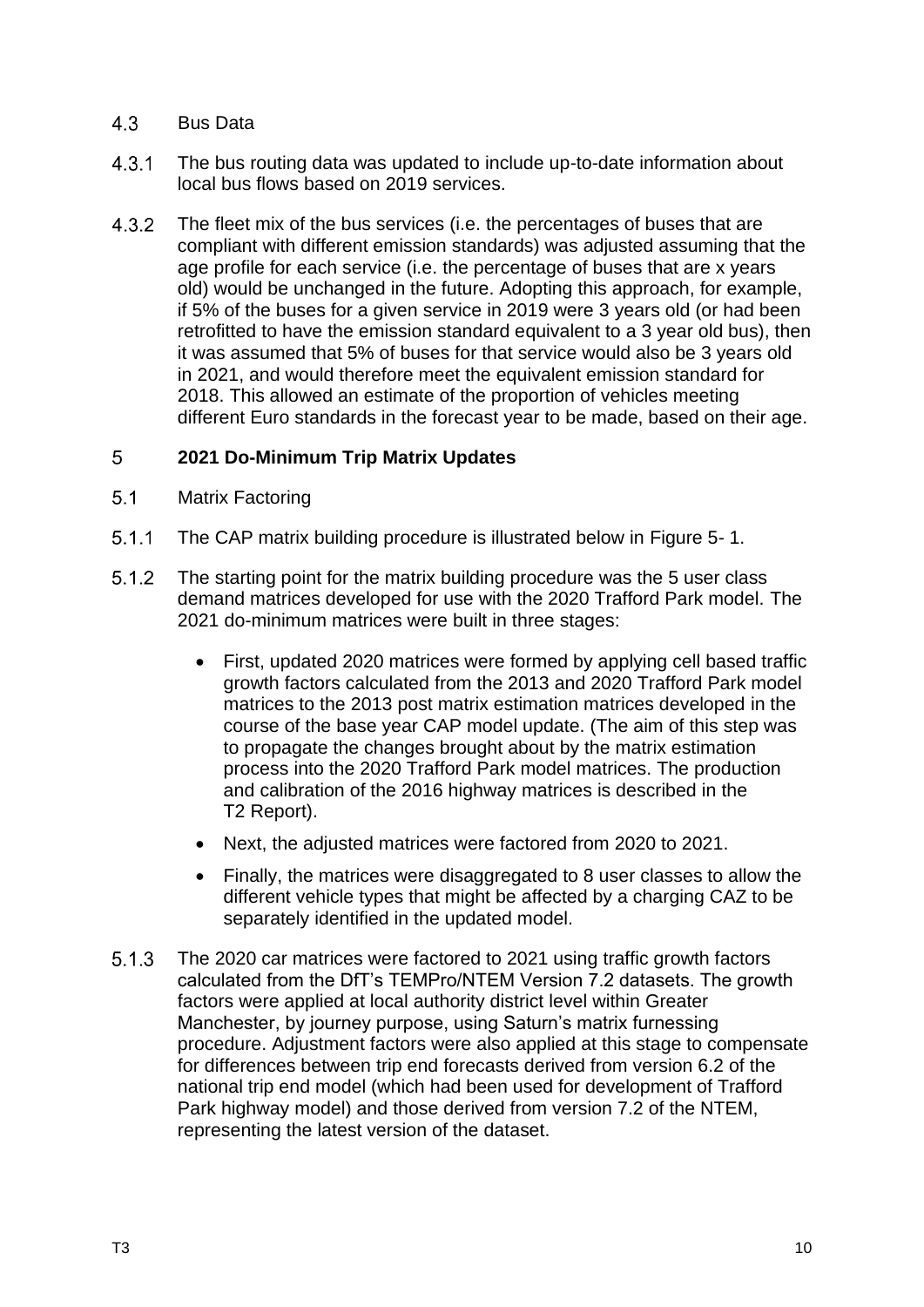#### <span id="page-12-0"></span> $4.3$ Bus Data

- $4.3.1$ The bus routing data was updated to include up-to-date information about local bus flows based on 2019 services.
- $4.3.2$ The fleet mix of the bus services (i.e. the percentages of buses that are compliant with different emission standards) was adjusted assuming that the age profile for each service (i.e. the percentage of buses that are x years old) would be unchanged in the future. Adopting this approach, for example, if 5% of the buses for a given service in 2019 were 3 years old (or had been retrofitted to have the emission standard equivalent to a 3 year old bus), then it was assumed that 5% of buses for that service would also be 3 years old in 2021, and would therefore meet the equivalent emission standard for 2018. This allowed an estimate of the proportion of vehicles meeting different Euro standards in the forecast year to be made, based on their age.

#### <span id="page-12-1"></span>5 **2021 Do-Minimum Trip Matrix Updates**

- <span id="page-12-2"></span> $5.1$ Matrix Factoring
- $5.1.1$ The CAP matrix building procedure is illustrated below in [Figure 5-](#page-13-1) 1.
- $5.1.2$ The starting point for the matrix building procedure was the 5 user class demand matrices developed for use with the 2020 Trafford Park model. The 2021 do-minimum matrices were built in three stages:
	- First, updated 2020 matrices were formed by applying cell based traffic growth factors calculated from the 2013 and 2020 Trafford Park model matrices to the 2013 post matrix estimation matrices developed in the course of the base year CAP model update. (The aim of this step was to propagate the changes brought about by the matrix estimation process into the 2020 Trafford Park model matrices. The production and calibration of the 2016 highway matrices is described in the T2 Report).
	- Next, the adjusted matrices were factored from 2020 to 2021.
	- Finally, the matrices were disaggregated to 8 user classes to allow the different vehicle types that might be affected by a charging CAZ to be separately identified in the updated model.
- $5.1.3$ The 2020 car matrices were factored to 2021 using traffic growth factors calculated from the DfT's TEMPro/NTEM Version 7.2 datasets. The growth factors were applied at local authority district level within Greater Manchester, by journey purpose, using Saturn's matrix furnessing procedure. Adjustment factors were also applied at this stage to compensate for differences between trip end forecasts derived from version 6.2 of the national trip end model (which had been used for development of Trafford Park highway model) and those derived from version 7.2 of the NTEM, representing the latest version of the dataset.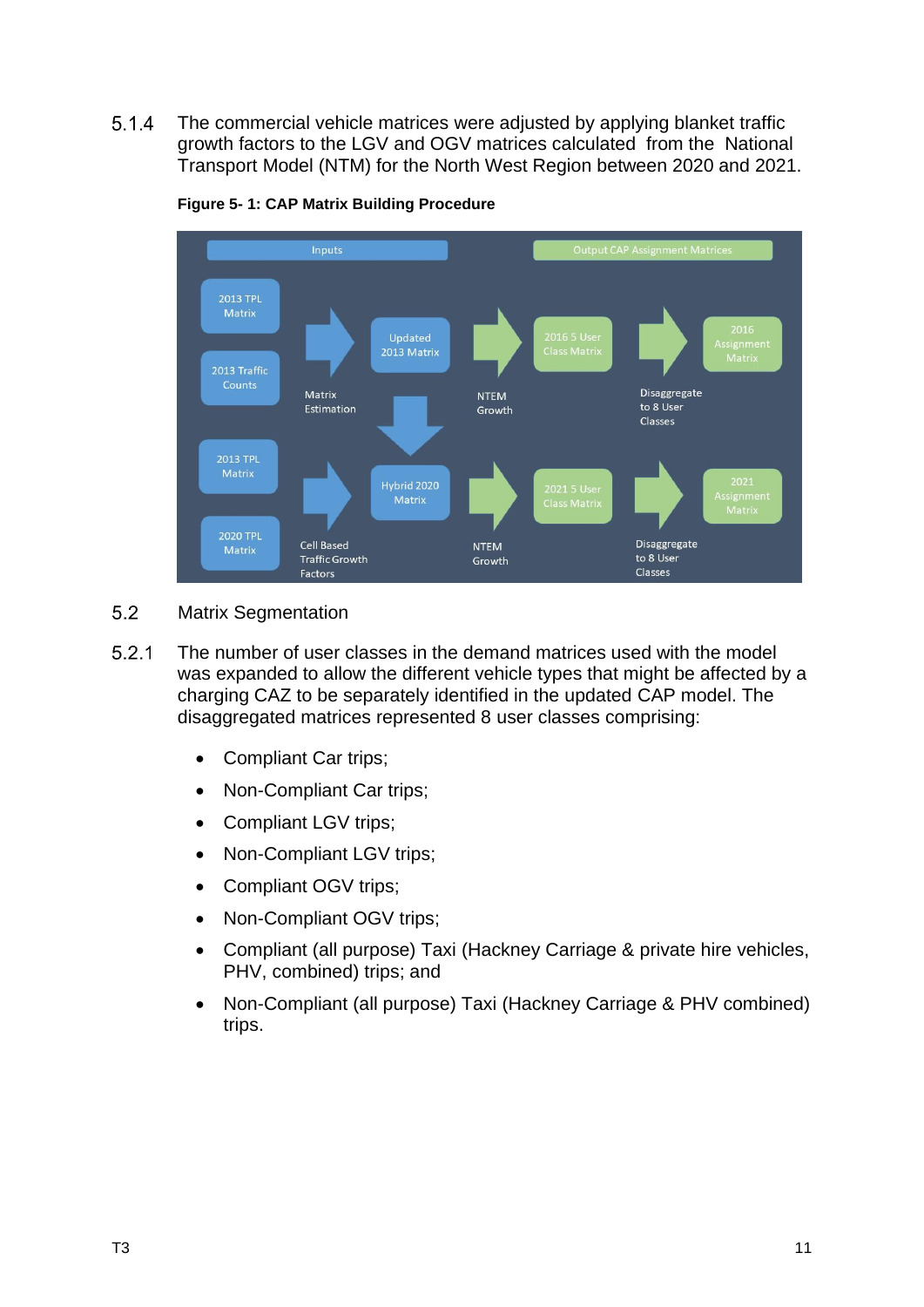$5.1.4$ The commercial vehicle matrices were adjusted by applying blanket traffic growth factors to the LGV and OGV matrices calculated from the National Transport Model (NTM) for the North West Region between 2020 and 2021.

<span id="page-13-1"></span>

**Figure 5- 1: CAP Matrix Building Procedure**

- <span id="page-13-0"></span> $5.2$ Matrix Segmentation
- $5.2.1$ The number of user classes in the demand matrices used with the model was expanded to allow the different vehicle types that might be affected by a charging CAZ to be separately identified in the updated CAP model. The disaggregated matrices represented 8 user classes comprising:
	- Compliant Car trips;
	- Non-Compliant Car trips;
	- Compliant LGV trips;
	- Non-Compliant LGV trips;
	- Compliant OGV trips;
	- Non-Compliant OGV trips:
	- Compliant (all purpose) Taxi (Hackney Carriage & private hire vehicles, PHV, combined) trips; and
	- Non-Compliant (all purpose) Taxi (Hackney Carriage & PHV combined) trips.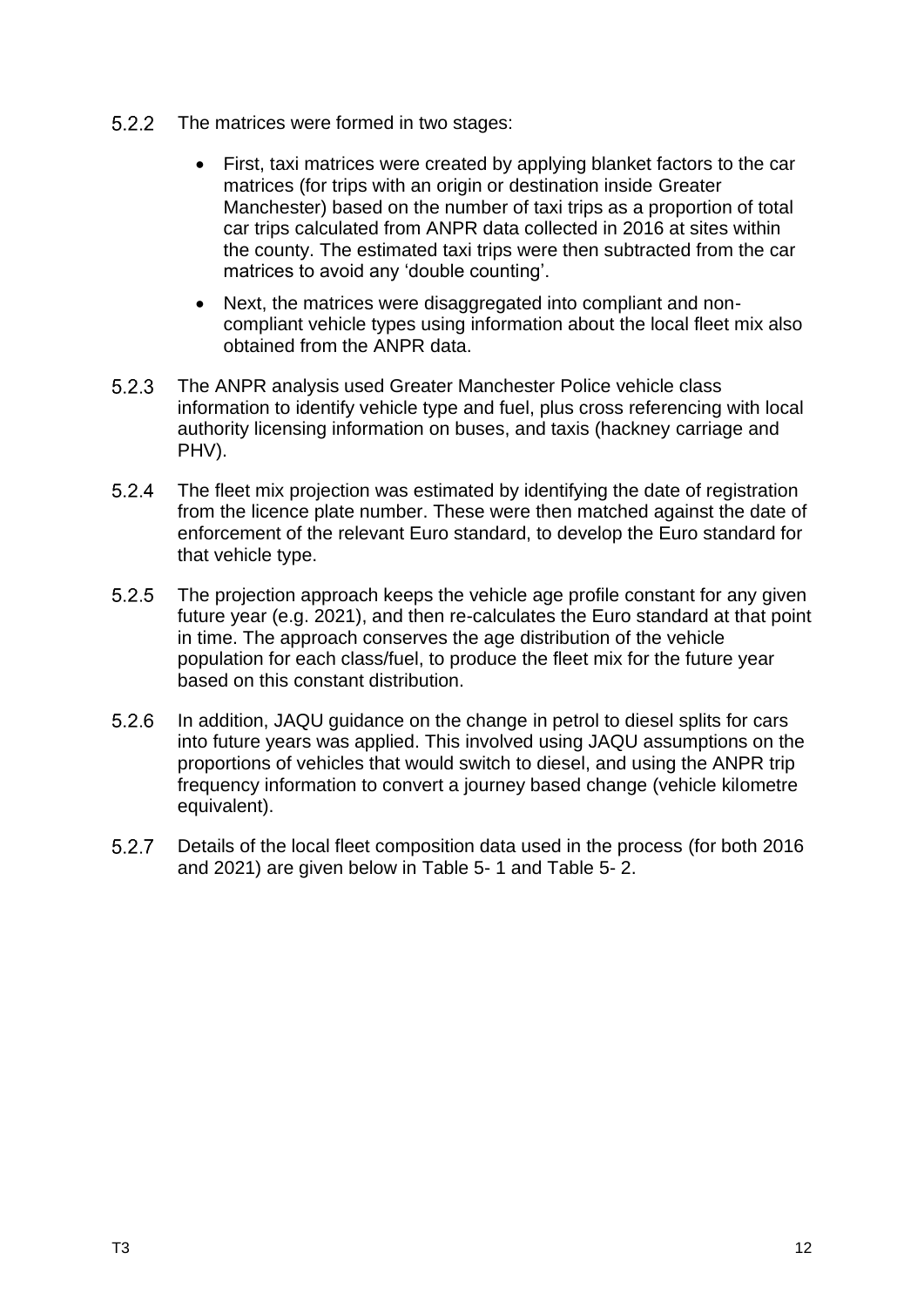- 5.2.2 The matrices were formed in two stages:
	- First, taxi matrices were created by applying blanket factors to the car matrices (for trips with an origin or destination inside Greater Manchester) based on the number of taxi trips as a proportion of total car trips calculated from ANPR data collected in 2016 at sites within the county. The estimated taxi trips were then subtracted from the car matrices to avoid any 'double counting'.
	- Next, the matrices were disaggregated into compliant and noncompliant vehicle types using information about the local fleet mix also obtained from the ANPR data.
- $5.2.3$ The ANPR analysis used Greater Manchester Police vehicle class information to identify vehicle type and fuel, plus cross referencing with local authority licensing information on buses, and taxis (hackney carriage and PHV).
- $5.2.4$ The fleet mix projection was estimated by identifying the date of registration from the licence plate number. These were then matched against the date of enforcement of the relevant Euro standard, to develop the Euro standard for that vehicle type.
- $5.2.5$ The projection approach keeps the vehicle age profile constant for any given future year (e.g. 2021), and then re-calculates the Euro standard at that point in time. The approach conserves the age distribution of the vehicle population for each class/fuel, to produce the fleet mix for the future year based on this constant distribution.
- $5.2.6$ In addition, JAQU guidance on the change in petrol to diesel splits for cars into future years was applied. This involved using JAQU assumptions on the proportions of vehicles that would switch to diesel, and using the ANPR trip frequency information to convert a journey based change (vehicle kilometre equivalent).
- $5.2.7$ Details of the local fleet composition data used in the process (for both 2016 and 2021) are given below in [Table 5-](#page-15-0) 1 and [Table 5-](#page-16-0) 2.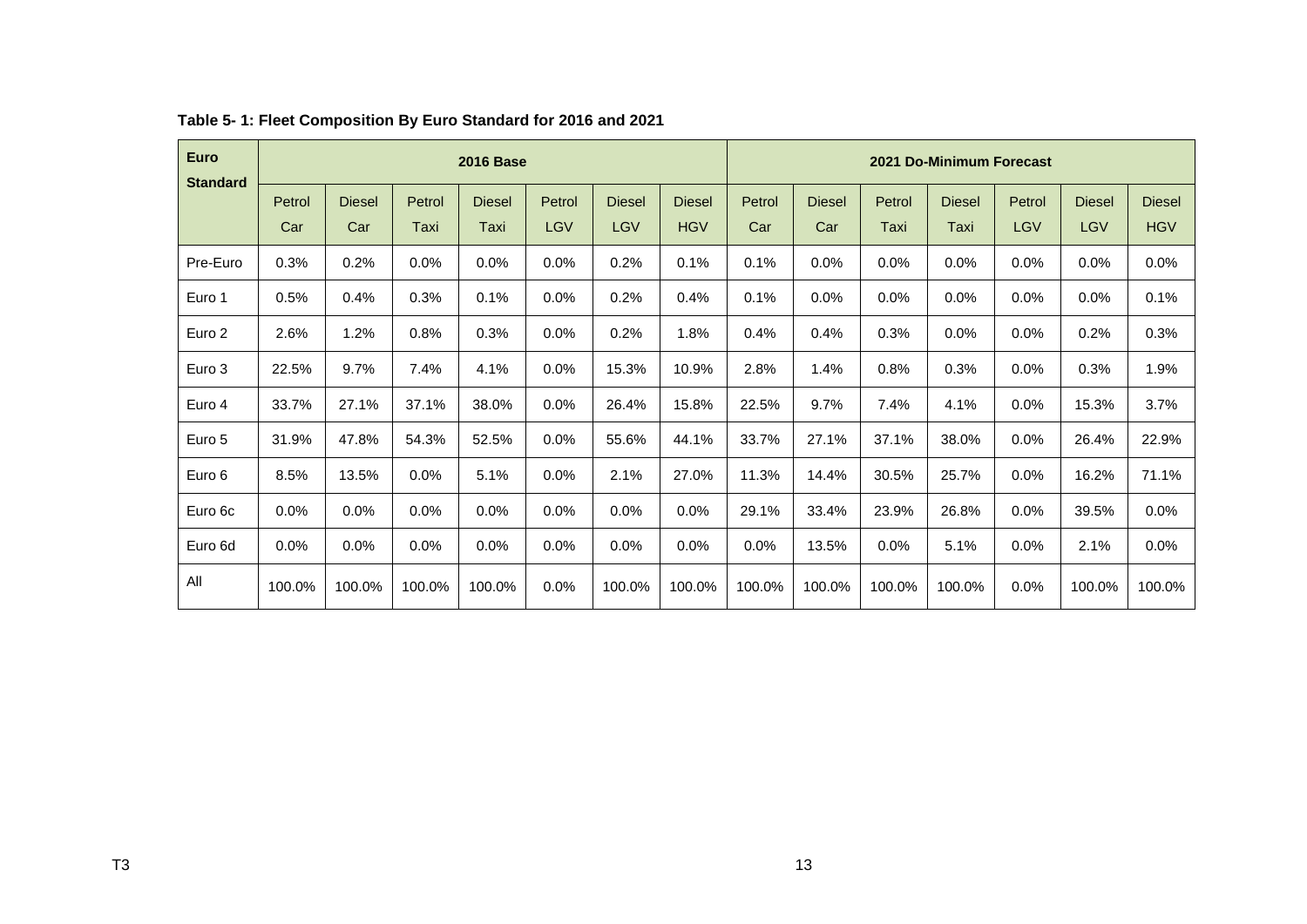<span id="page-15-0"></span>

| <b>Euro</b><br><b>Standard</b> | <b>2016 Base</b> |               |         |               |            |               | 2021 Do-Minimum Forecast |        |               |        |               |            |               |               |
|--------------------------------|------------------|---------------|---------|---------------|------------|---------------|--------------------------|--------|---------------|--------|---------------|------------|---------------|---------------|
|                                | Petrol           | <b>Diesel</b> | Petrol  | <b>Diesel</b> | Petrol     | <b>Diesel</b> | <b>Diesel</b>            | Petrol | <b>Diesel</b> | Petrol | <b>Diesel</b> | Petrol     | <b>Diesel</b> | <b>Diesel</b> |
|                                | Car              | Car           | Taxi    | Taxi          | <b>LGV</b> | <b>LGV</b>    | <b>HGV</b>               | Car    | Car           | Taxi   | Taxi          | <b>LGV</b> | <b>LGV</b>    | <b>HGV</b>    |
| Pre-Euro                       | 0.3%             | 0.2%          | $0.0\%$ | 0.0%          | 0.0%       | 0.2%          | 0.1%                     | 0.1%   | 0.0%          | 0.0%   | 0.0%          | 0.0%       | 0.0%          | 0.0%          |
| Euro 1                         | 0.5%             | 0.4%          | 0.3%    | 0.1%          | 0.0%       | 0.2%          | 0.4%                     | 0.1%   | 0.0%          | 0.0%   | 0.0%          | $0.0\%$    | 0.0%          | 0.1%          |
| Euro 2                         | 2.6%             | 1.2%          | 0.8%    | 0.3%          | 0.0%       | 0.2%          | 1.8%                     | 0.4%   | 0.4%          | 0.3%   | 0.0%          | $0.0\%$    | 0.2%          | 0.3%          |
| Euro 3                         | 22.5%            | 9.7%          | 7.4%    | 4.1%          | 0.0%       | 15.3%         | 10.9%                    | 2.8%   | 1.4%          | 0.8%   | 0.3%          | 0.0%       | 0.3%          | 1.9%          |
| Euro 4                         | 33.7%            | 27.1%         | 37.1%   | 38.0%         | 0.0%       | 26.4%         | 15.8%                    | 22.5%  | 9.7%          | 7.4%   | 4.1%          | $0.0\%$    | 15.3%         | 3.7%          |
| Euro 5                         | 31.9%            | 47.8%         | 54.3%   | 52.5%         | 0.0%       | 55.6%         | 44.1%                    | 33.7%  | 27.1%         | 37.1%  | 38.0%         | $0.0\%$    | 26.4%         | 22.9%         |
| Euro 6                         | 8.5%             | 13.5%         | 0.0%    | 5.1%          | 0.0%       | 2.1%          | 27.0%                    | 11.3%  | 14.4%         | 30.5%  | 25.7%         | 0.0%       | 16.2%         | 71.1%         |
| Euro 6c                        | 0.0%             | 0.0%          | $0.0\%$ | 0.0%          | 0.0%       | $0.0\%$       | 0.0%                     | 29.1%  | 33.4%         | 23.9%  | 26.8%         | 0.0%       | 39.5%         | 0.0%          |
| Euro 6d                        | $0.0\%$          | 0.0%          | $0.0\%$ | $0.0\%$       | 0.0%       | $0.0\%$       | $0.0\%$                  | 0.0%   | 13.5%         | 0.0%   | 5.1%          | $0.0\%$    | 2.1%          | $0.0\%$       |
| All                            | 100.0%           | 100.0%        | 100.0%  | 100.0%        | 0.0%       | 100.0%        | 100.0%                   | 100.0% | 100.0%        | 100.0% | 100.0%        | 0.0%       | 100.0%        | 100.0%        |

### **Table 5- 1: Fleet Composition By Euro Standard for 2016 and 2021**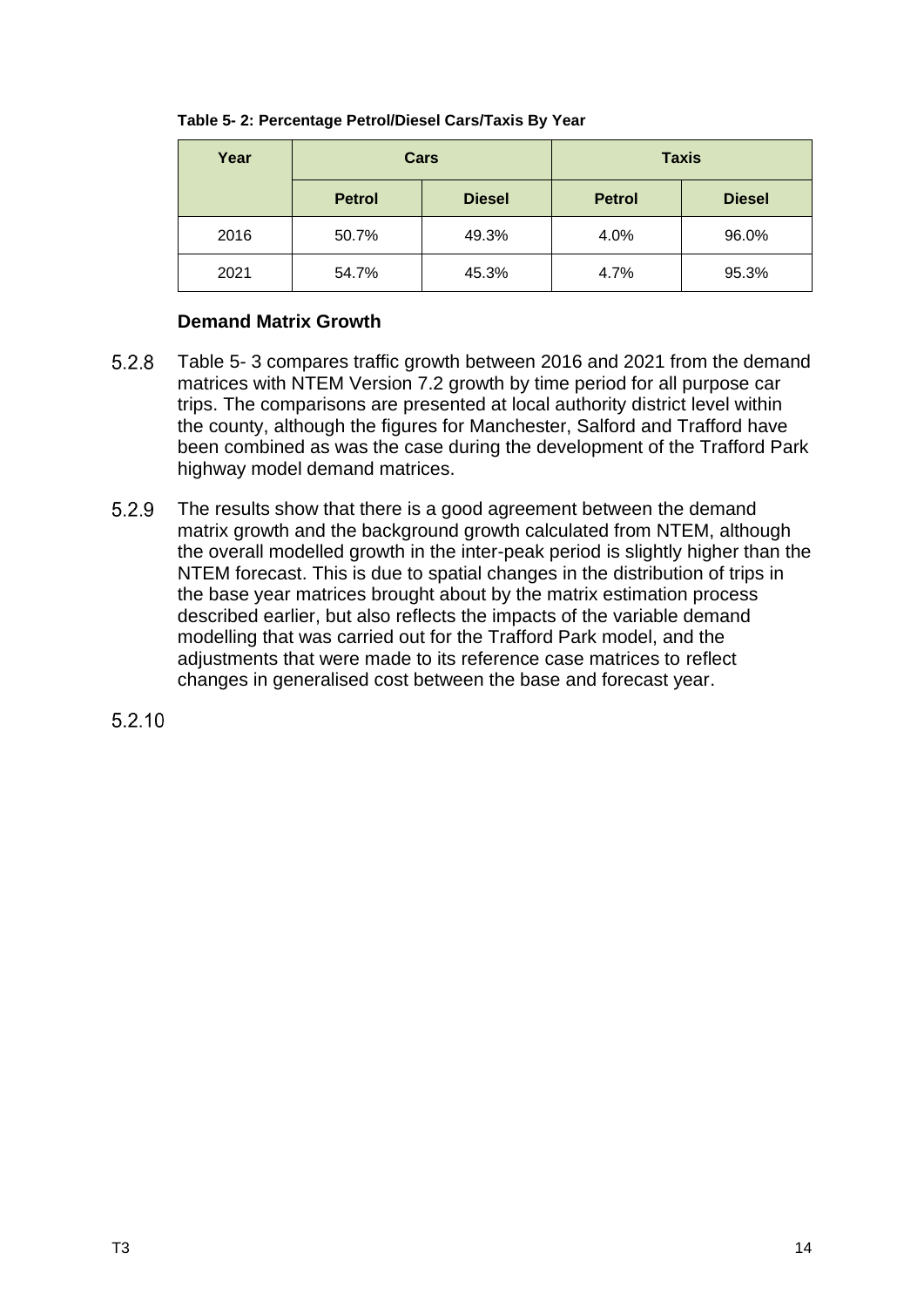| Year | Cars          |               | <b>Taxis</b>  |               |  |  |
|------|---------------|---------------|---------------|---------------|--|--|
|      | <b>Petrol</b> | <b>Diesel</b> | <b>Petrol</b> | <b>Diesel</b> |  |  |
| 2016 | 50.7%         | 49.3%         | 4.0%          | 96.0%         |  |  |
| 2021 | 54.7%         | 45.3%         | 4.7%          | 95.3%         |  |  |

### <span id="page-16-0"></span>**Table 5- 2: Percentage Petrol/Diesel Cars/Taxis By Year**

### **Demand Matrix Growth**

- $5.2.8$ [Table 5-](#page-18-0) 3 compares traffic growth between 2016 and 2021 from the demand matrices with NTEM Version 7.2 growth by time period for all purpose car trips. The comparisons are presented at local authority district level within the county, although the figures for Manchester, Salford and Trafford have been combined as was the case during the development of the Trafford Park highway model demand matrices.
- $5.2.9$ The results show that there is a good agreement between the demand matrix growth and the background growth calculated from NTEM, although the overall modelled growth in the inter-peak period is slightly higher than the NTEM forecast. This is due to spatial changes in the distribution of trips in the base year matrices brought about by the matrix estimation process described earlier, but also reflects the impacts of the variable demand modelling that was carried out for the Trafford Park model, and the adjustments that were made to its reference case matrices to reflect changes in generalised cost between the base and forecast year.

5.2.10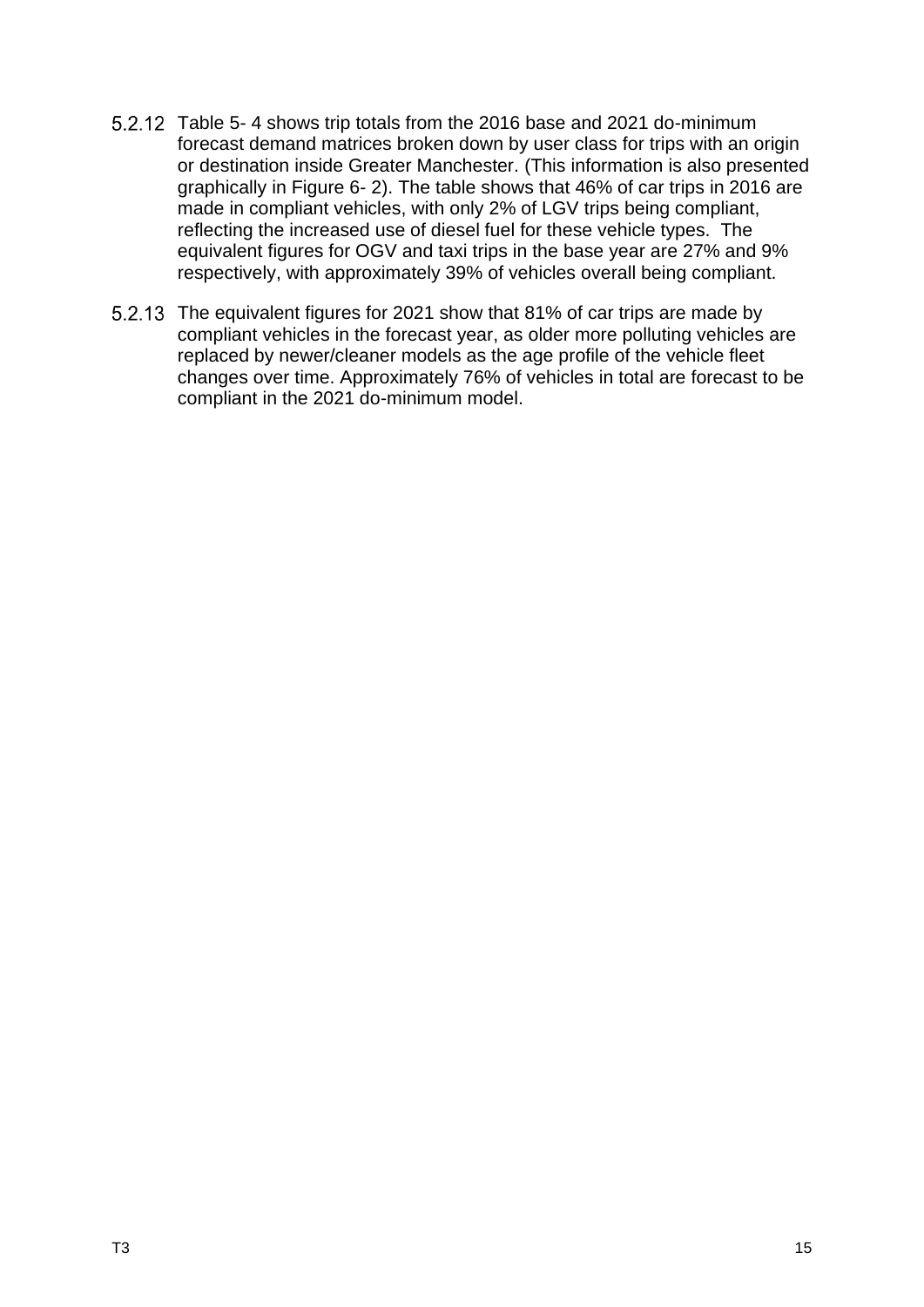- [Table 5-](#page-18-1) 4 shows trip totals from the 2016 base and 2021 do-minimum forecast demand matrices broken down by user class for trips with an origin or destination inside Greater Manchester. (This information is also presented graphically in [Figure 6-](#page-25-0) 2). The table shows that 46% of car trips in 2016 are made in compliant vehicles, with only 2% of LGV trips being compliant, reflecting the increased use of diesel fuel for these vehicle types. The equivalent figures for OGV and taxi trips in the base year are 27% and 9% respectively, with approximately 39% of vehicles overall being compliant.
- 5.2.13 The equivalent figures for 2021 show that 81% of car trips are made by compliant vehicles in the forecast year, as older more polluting vehicles are replaced by newer/cleaner models as the age profile of the vehicle fleet changes over time. Approximately 76% of vehicles in total are forecast to be compliant in the 2021 do-minimum model.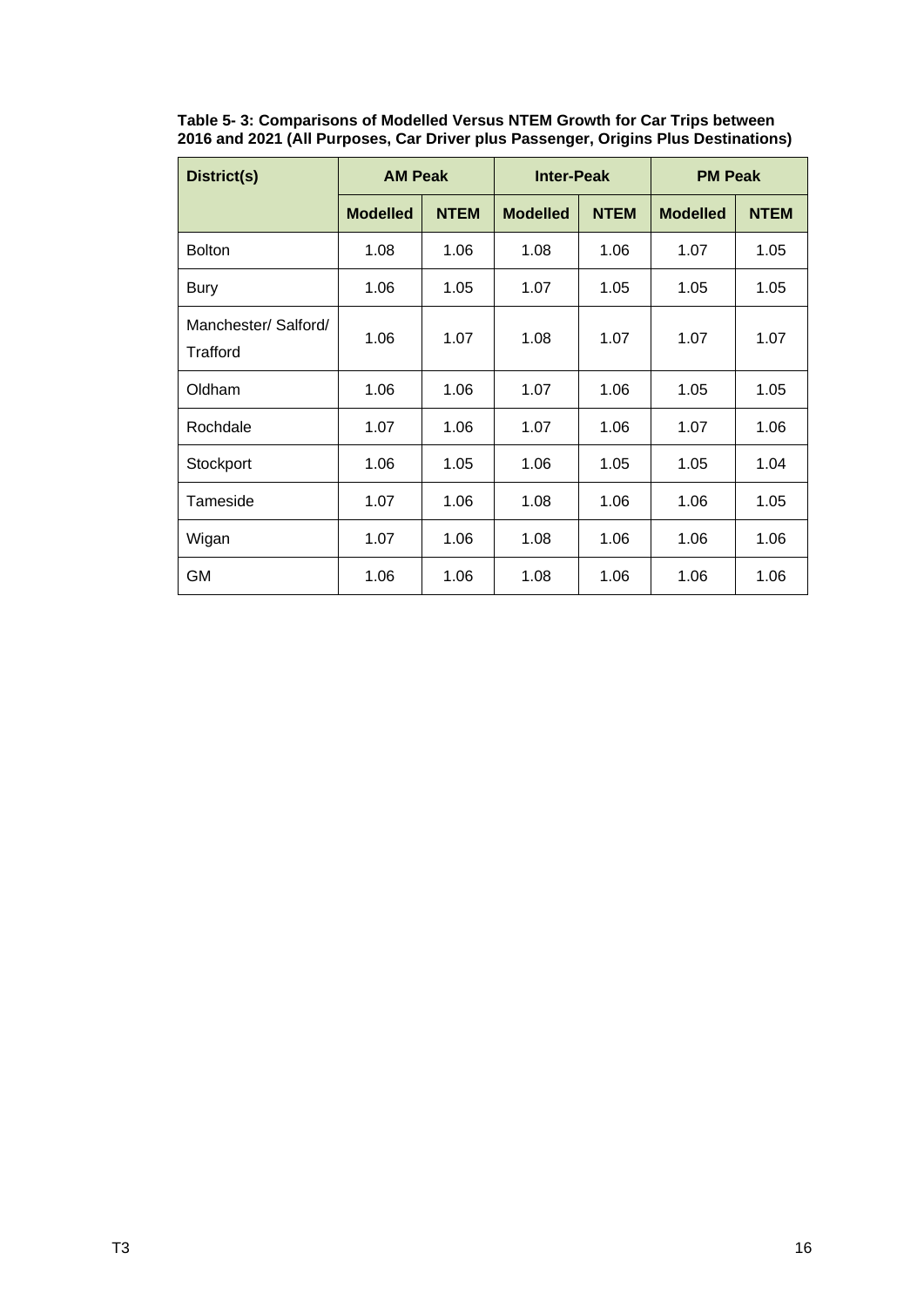<span id="page-18-0"></span>**Table 5- 3: Comparisons of Modelled Versus NTEM Growth for Car Trips between 2016 and 2021 (All Purposes, Car Driver plus Passenger, Origins Plus Destinations)**

<span id="page-18-1"></span>

| District(s)                      | <b>AM Peak</b>  |             | <b>Inter-Peak</b> |             | <b>PM Peak</b>  |             |  |
|----------------------------------|-----------------|-------------|-------------------|-------------|-----------------|-------------|--|
|                                  | <b>Modelled</b> | <b>NTEM</b> | <b>Modelled</b>   | <b>NTEM</b> | <b>Modelled</b> | <b>NTEM</b> |  |
| <b>Bolton</b>                    | 1.08            | 1.06        | 1.08              | 1.06        | 1.07            | 1.05        |  |
| <b>Bury</b>                      | 1.06            | 1.05        | 1.07              | 1.05        | 1.05            | 1.05        |  |
| Manchester/ Salford/<br>Trafford | 1.06            | 1.07        | 1.08              | 1.07        | 1.07            | 1.07        |  |
| Oldham                           | 1.06            | 1.06        | 1.07              | 1.06        | 1.05            | 1.05        |  |
| Rochdale                         | 1.07            | 1.06        | 1.07              | 1.06        | 1.07            | 1.06        |  |
| Stockport                        | 1.06            | 1.05        | 1.06              | 1.05        | 1.05            | 1.04        |  |
| Tameside                         | 1.07            | 1.06        | 1.08              | 1.06        | 1.06            | 1.05        |  |
| Wigan                            | 1.07            | 1.06        | 1.08              | 1.06        | 1.06            | 1.06        |  |
| <b>GM</b>                        | 1.06            | 1.06        | 1.08              | 1.06        | 1.06            | 1.06        |  |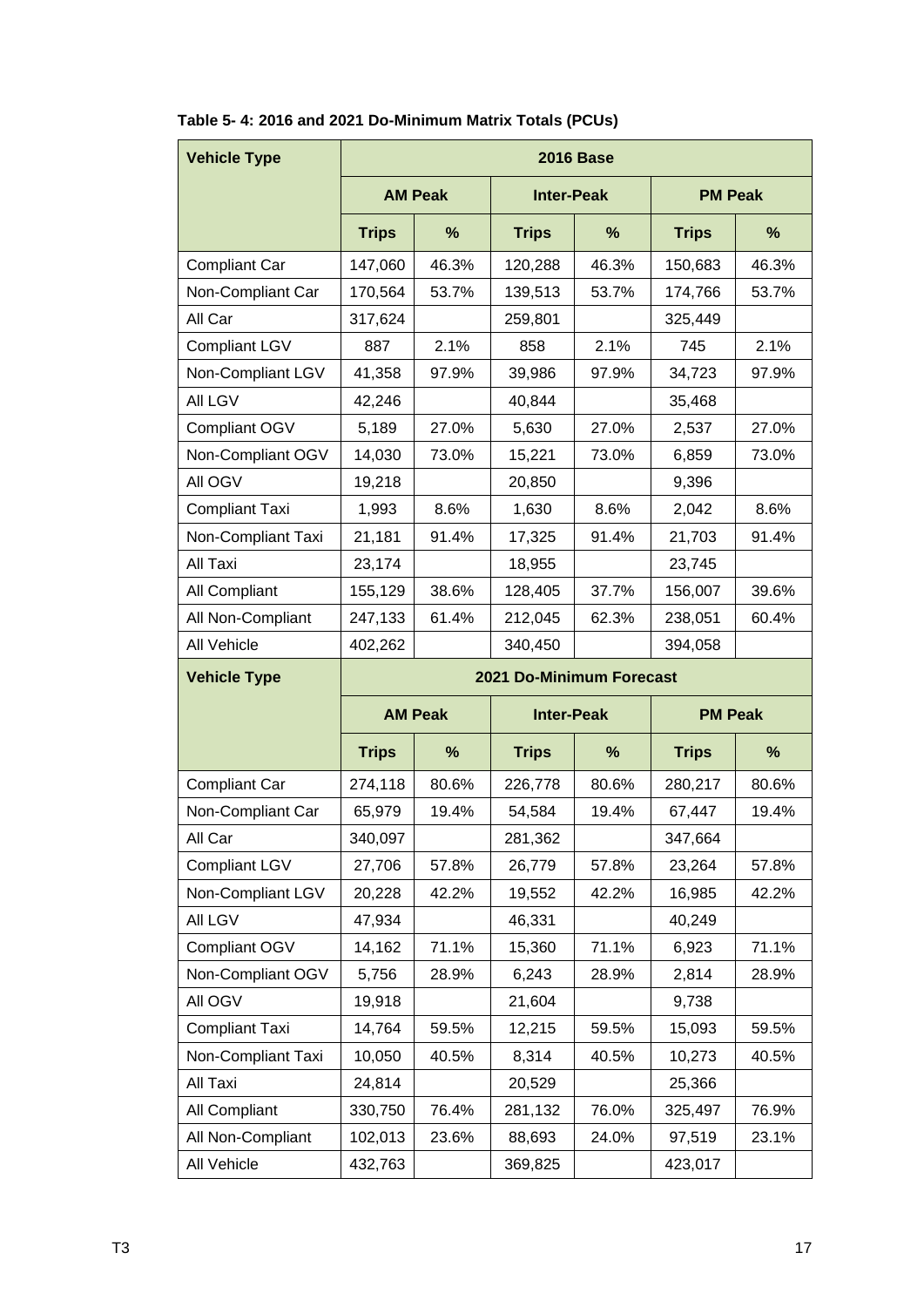| <b>Vehicle Type</b>   | <b>2016 Base</b> |                |                          |       |                |       |  |  |  |
|-----------------------|------------------|----------------|--------------------------|-------|----------------|-------|--|--|--|
|                       |                  | <b>AM Peak</b> | <b>Inter-Peak</b>        |       | <b>PM Peak</b> |       |  |  |  |
|                       | <b>Trips</b>     | $\frac{9}{6}$  | <b>Trips</b>             | %     | <b>Trips</b>   | %     |  |  |  |
| <b>Compliant Car</b>  | 147,060          | 46.3%          | 120,288                  | 46.3% | 150,683        | 46.3% |  |  |  |
| Non-Compliant Car     | 170,564          | 53.7%          | 139,513                  | 53.7% | 174,766        | 53.7% |  |  |  |
| All Car               | 317,624          |                | 259,801                  |       | 325,449        |       |  |  |  |
| <b>Compliant LGV</b>  | 887              | 2.1%           | 858                      | 2.1%  | 745            | 2.1%  |  |  |  |
| Non-Compliant LGV     | 41,358           | 97.9%          | 39,986                   | 97.9% | 34,723         | 97.9% |  |  |  |
| All LGV               | 42,246           |                | 40,844                   |       | 35,468         |       |  |  |  |
| Compliant OGV         | 5,189            | 27.0%          | 5,630                    | 27.0% | 2,537          | 27.0% |  |  |  |
| Non-Compliant OGV     | 14,030           | 73.0%          | 15,221                   | 73.0% | 6,859          | 73.0% |  |  |  |
| All OGV               | 19,218           |                | 20,850                   |       | 9,396          |       |  |  |  |
| <b>Compliant Taxi</b> | 1,993            | 8.6%           | 1,630                    | 8.6%  | 2,042          | 8.6%  |  |  |  |
| Non-Compliant Taxi    | 21,181           | 91.4%          | 17,325                   | 91.4% | 21,703         | 91.4% |  |  |  |
| All Taxi              | 23,174           |                | 18,955                   |       | 23,745         |       |  |  |  |
| All Compliant         | 155,129          | 38.6%          | 128,405                  | 37.7% | 156,007        | 39.6% |  |  |  |
| All Non-Compliant     | 247,133          | 61.4%          | 212,045                  | 62.3% | 238,051        | 60.4% |  |  |  |
| All Vehicle           | 402,262          |                | 340,450                  |       | 394,058        |       |  |  |  |
| <b>Vehicle Type</b>   |                  |                | 2021 Do-Minimum Forecast |       |                |       |  |  |  |
|                       |                  | <b>AM Peak</b> | <b>Inter-Peak</b>        |       | <b>PM Peak</b> |       |  |  |  |
|                       | <b>Trips</b>     | $\%$           | <b>Trips</b>             | %     | <b>Trips</b>   | %     |  |  |  |
| Compliant Car         | 274,118          | 80.6%          | 226,778                  | 80.6% | 280,217        | 80.6% |  |  |  |
| Non-Compliant Car     | 65,979           | 19.4%          | 54,584                   | 19.4% | 67,447         | 19.4% |  |  |  |
| All Car               | 340,097          |                | 281,362                  |       | 347,664        |       |  |  |  |
| <b>Compliant LGV</b>  |                  |                |                          |       |                |       |  |  |  |
|                       | 27,706           | 57.8%          | 26,779                   | 57.8% | 23,264         | 57.8% |  |  |  |
| Non-Compliant LGV     | 20,228           | 42.2%          | 19,552                   | 42.2% | 16,985         | 42.2% |  |  |  |
| All LGV               | 47,934           |                | 46,331                   |       | 40,249         |       |  |  |  |
| Compliant OGV         | 14,162           | 71.1%          | 15,360                   | 71.1% | 6,923          | 71.1% |  |  |  |
| Non-Compliant OGV     | 5,756            | 28.9%          | 6,243                    | 28.9% | 2,814          | 28.9% |  |  |  |
| All OGV               | 19,918           |                | 21,604                   |       | 9,738          |       |  |  |  |
| <b>Compliant Taxi</b> | 14,764           | 59.5%          | 12,215                   | 59.5% | 15,093         | 59.5% |  |  |  |
| Non-Compliant Taxi    | 10,050           | 40.5%          | 8,314                    | 40.5% | 10,273         | 40.5% |  |  |  |
| All Taxi              | 24,814           |                | 20,529                   |       | 25,366         |       |  |  |  |
| All Compliant         | 330,750          | 76.4%          | 281,132                  | 76.0% | 325,497        | 76.9% |  |  |  |
| All Non-Compliant     | 102,013          | 23.6%          | 88,693                   | 24.0% | 97,519         | 23.1% |  |  |  |

### **Table 5- 4: 2016 and 2021 Do-Minimum Matrix Totals (PCUs)**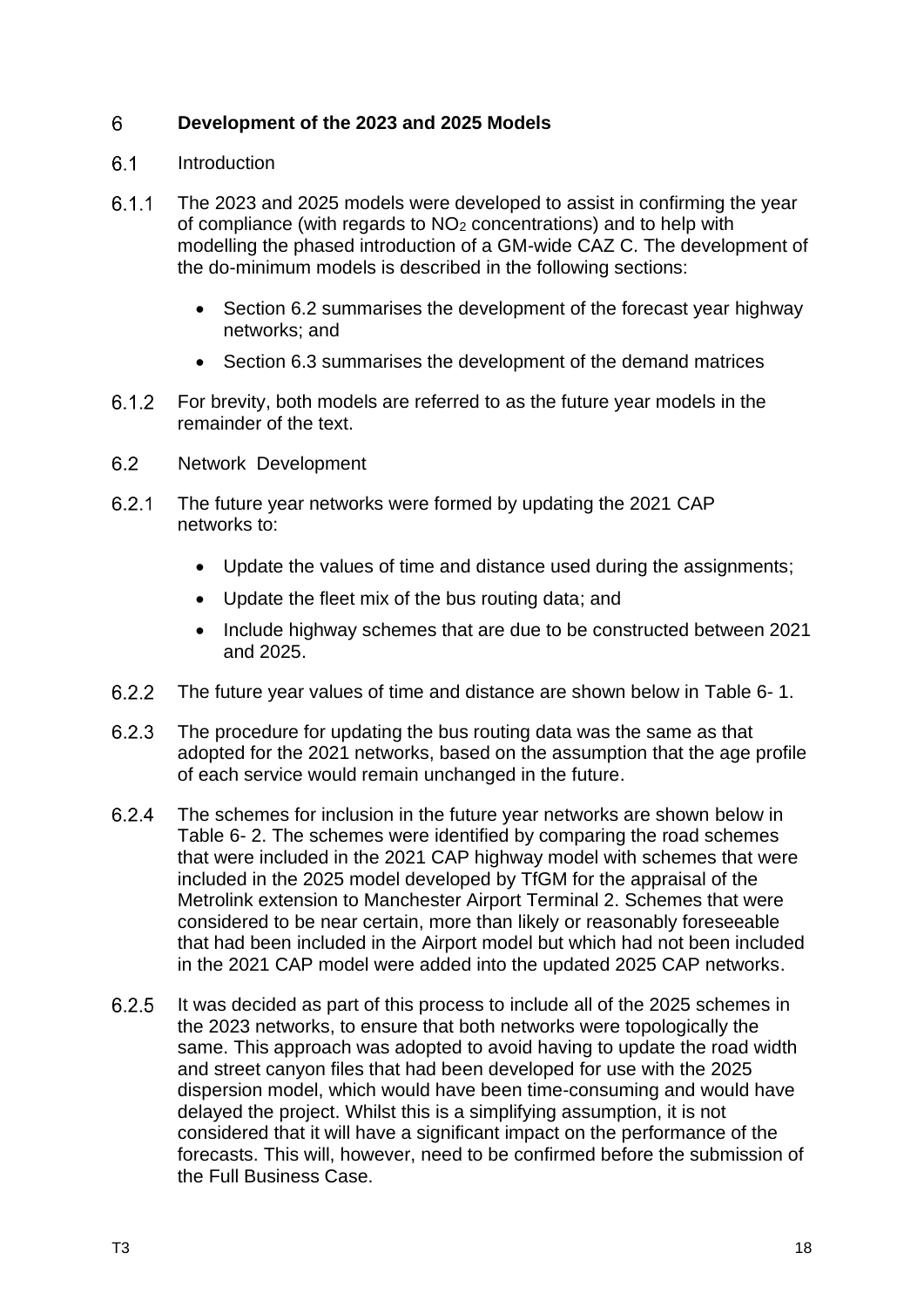#### <span id="page-20-0"></span>6 **Development of the 2023 and 2025 Models**

#### <span id="page-20-1"></span> $6.1$ Introduction

- $6.1.1$ The 2023 and 2025 models were developed to assist in confirming the year of compliance (with regards to NO<sup>2</sup> concentrations) and to help with modelling the phased introduction of a GM-wide CAZ C. The development of the do-minimum models is described in the following sections:
	- Section 6.2 summarises the development of the forecast year highway networks; and
	- Section 6.3 summarises the development of the demand matrices
- $6.1.2$ For brevity, both models are referred to as the future year models in the remainder of the text.
- <span id="page-20-2"></span> $6.2$ Network Development
- $6.2.1$ The future year networks were formed by updating the 2021 CAP networks to:
	- Update the values of time and distance used during the assignments;
	- Update the fleet mix of the bus routing data; and
	- Include highway schemes that are due to be constructed between 2021 and 2025.
- $6.2.2$ The future year values of time and distance are shown below in [Table 6-](#page-21-0) 1.
- 6.2.3 The procedure for updating the bus routing data was the same as that adopted for the 2021 networks, based on the assumption that the age profile of each service would remain unchanged in the future.
- $6.2.4$ The schemes for inclusion in the future year networks are shown below in [Table 6-](#page-22-1) 2. The schemes were identified by comparing the road schemes that were included in the 2021 CAP highway model with schemes that were included in the 2025 model developed by TfGM for the appraisal of the Metrolink extension to Manchester Airport Terminal 2. Schemes that were considered to be near certain, more than likely or reasonably foreseeable that had been included in the Airport model but which had not been included in the 2021 CAP model were added into the updated 2025 CAP networks.
- $6.2.5$ It was decided as part of this process to include all of the 2025 schemes in the 2023 networks, to ensure that both networks were topologically the same. This approach was adopted to avoid having to update the road width and street canyon files that had been developed for use with the 2025 dispersion model, which would have been time-consuming and would have delayed the project. Whilst this is a simplifying assumption, it is not considered that it will have a significant impact on the performance of the forecasts. This will, however, need to be confirmed before the submission of the Full Business Case.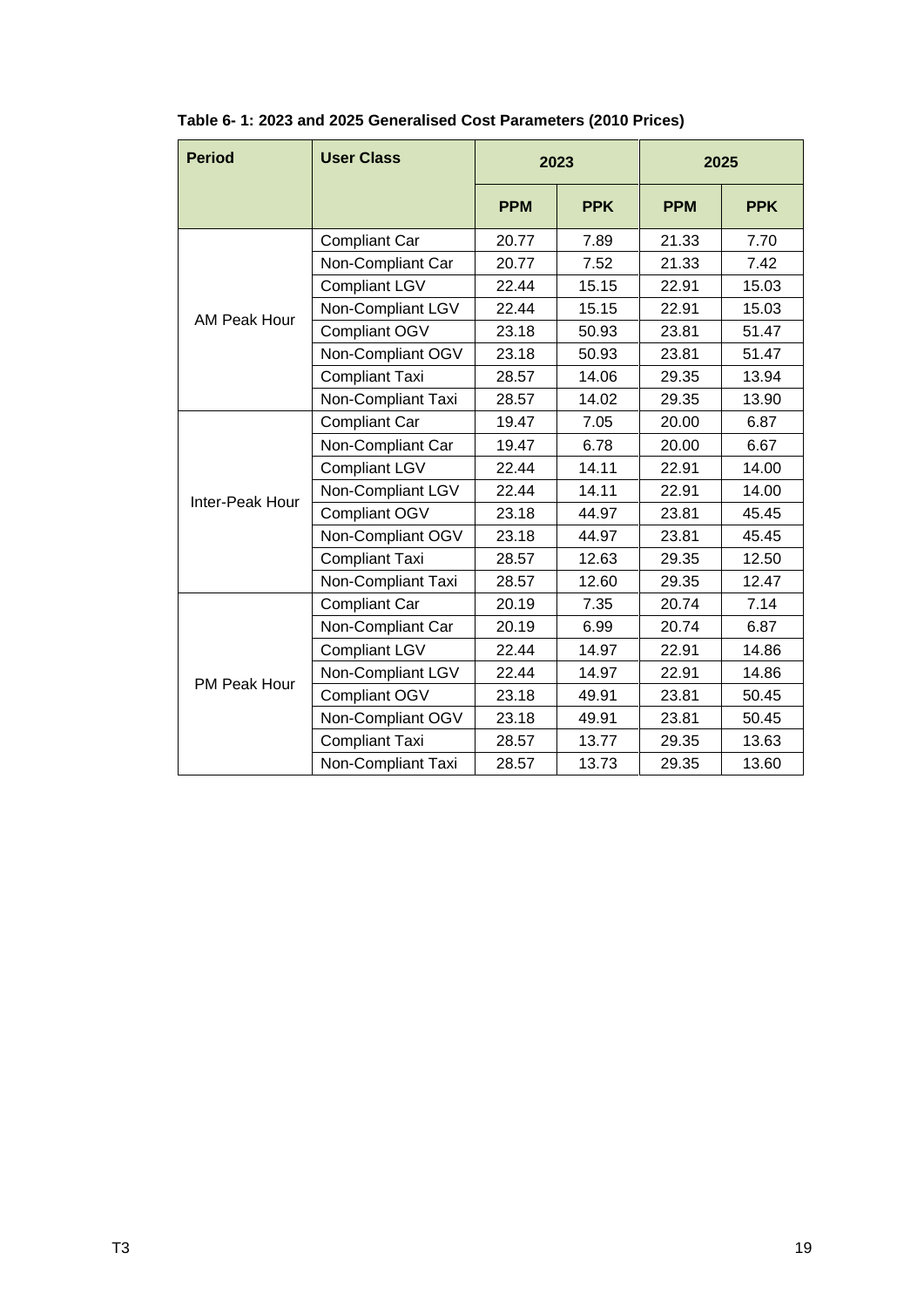| <b>Period</b>   | <b>User Class</b>     |                                                                                                                                                                                                                                                                          |            |            |            |
|-----------------|-----------------------|--------------------------------------------------------------------------------------------------------------------------------------------------------------------------------------------------------------------------------------------------------------------------|------------|------------|------------|
|                 |                       | <b>PPM</b>                                                                                                                                                                                                                                                               | <b>PPK</b> | <b>PPM</b> | <b>PPK</b> |
|                 | <b>Compliant Car</b>  | 20.77                                                                                                                                                                                                                                                                    | 7.89       | 21.33      | 7.70       |
|                 | Non-Compliant Car     | 20.77                                                                                                                                                                                                                                                                    | 7.52       | 21.33      | 7.42       |
|                 | <b>Compliant LGV</b>  | 22.44                                                                                                                                                                                                                                                                    | 15.15      | 22.91      | 15.03      |
| AM Peak Hour    | Non-Compliant LGV     | 22.44                                                                                                                                                                                                                                                                    | 15.15      | 22.91      | 15.03      |
|                 | Compliant OGV         | 23.18                                                                                                                                                                                                                                                                    | 50.93      | 23.81      | 51.47      |
|                 | Non-Compliant OGV     | 23.18                                                                                                                                                                                                                                                                    | 50.93      | 23.81      | 51.47      |
|                 | <b>Compliant Taxi</b> | 28.57                                                                                                                                                                                                                                                                    | 14.06      | 29.35      | 13.94      |
|                 | Non-Compliant Taxi    | 28.57<br>14.02<br>29.35<br>19.47<br>7.05<br>20.00<br>19.47<br>6.78<br>20.00<br>22.44<br>14.11<br>22.91<br>22.44<br>14.11<br>22.91<br>23.18<br>44.97<br>23.81<br>23.18<br>23.81<br>44.97                                                                                  | 13.90      |            |            |
|                 | <b>Compliant Car</b>  |                                                                                                                                                                                                                                                                          |            |            | 6.87       |
|                 | Non-Compliant Car     |                                                                                                                                                                                                                                                                          |            |            | 6.67       |
|                 | <b>Compliant LGV</b>  |                                                                                                                                                                                                                                                                          |            |            | 14.00      |
|                 | Non-Compliant LGV     |                                                                                                                                                                                                                                                                          |            |            | 14.00      |
| Inter-Peak Hour | Compliant OGV         |                                                                                                                                                                                                                                                                          |            |            | 45.45      |
|                 | Non-Compliant OGV     |                                                                                                                                                                                                                                                                          |            |            | 45.45      |
|                 | <b>Compliant Taxi</b> | 28.57<br>12.63<br>29.35<br>28.57<br>12.60<br>29.35<br>20.19<br>7.35<br>20.74<br>20.19<br>6.99<br>20.74<br>22.44<br>14.97<br>22.91<br>22.44<br>14.97<br>22.91<br>23.18<br>23.81<br>49.91<br>23.18<br>49.91<br>23.81<br>28.57<br>13.77<br>29.35<br>13.73<br>28.57<br>29.35 | 12.50      |            |            |
|                 | Non-Compliant Taxi    | 2023<br>2025                                                                                                                                                                                                                                                             | 12.47      |            |            |
|                 | <b>Compliant Car</b>  |                                                                                                                                                                                                                                                                          |            |            | 7.14       |
|                 | Non-Compliant Car     |                                                                                                                                                                                                                                                                          |            |            | 6.87       |
|                 | <b>Compliant LGV</b>  |                                                                                                                                                                                                                                                                          |            |            | 14.86      |
|                 | Non-Compliant LGV     |                                                                                                                                                                                                                                                                          |            |            | 14.86      |
| PM Peak Hour    | <b>Compliant OGV</b>  |                                                                                                                                                                                                                                                                          |            |            | 50.45      |
|                 | Non-Compliant OGV     |                                                                                                                                                                                                                                                                          |            |            | 50.45      |
|                 | <b>Compliant Taxi</b> |                                                                                                                                                                                                                                                                          | 13.63      |            |            |
|                 | Non-Compliant Taxi    |                                                                                                                                                                                                                                                                          |            |            | 13.60      |

<span id="page-21-0"></span>**Table 6- 1: 2023 and 2025 Generalised Cost Parameters (2010 Prices)**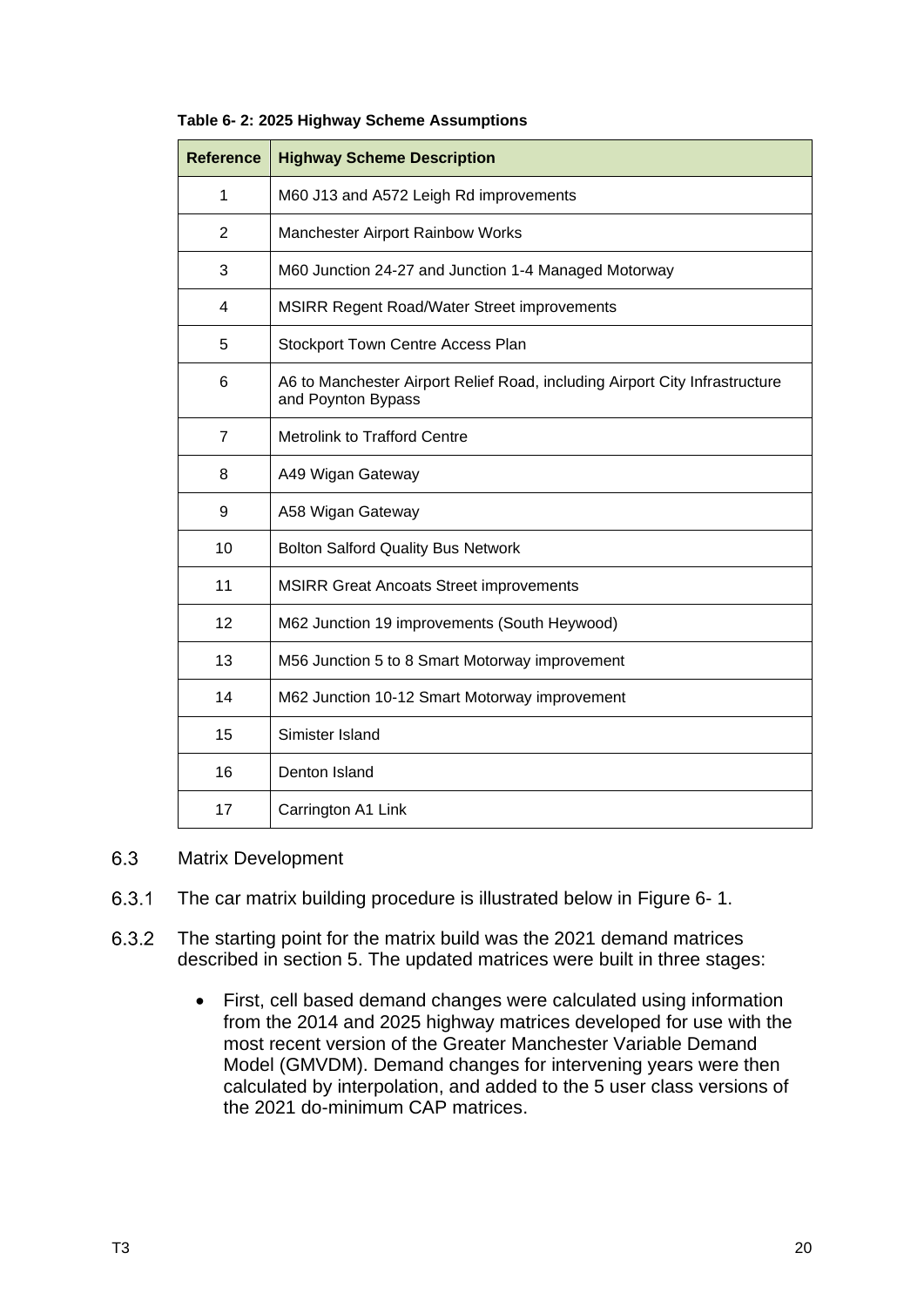| <b>Reference</b> | <b>Highway Scheme Description</b>                                                                 |  |  |  |  |
|------------------|---------------------------------------------------------------------------------------------------|--|--|--|--|
| 1                | M60 J13 and A572 Leigh Rd improvements                                                            |  |  |  |  |
| 2                | Manchester Airport Rainbow Works                                                                  |  |  |  |  |
| 3                | M60 Junction 24-27 and Junction 1-4 Managed Motorway                                              |  |  |  |  |
| 4                | MSIRR Regent Road/Water Street improvements                                                       |  |  |  |  |
| 5                | Stockport Town Centre Access Plan                                                                 |  |  |  |  |
| 6                | A6 to Manchester Airport Relief Road, including Airport City Infrastructure<br>and Poynton Bypass |  |  |  |  |
| $\overline{7}$   | <b>Metrolink to Trafford Centre</b>                                                               |  |  |  |  |
| 8                | A49 Wigan Gateway                                                                                 |  |  |  |  |
| 9                | A58 Wigan Gateway                                                                                 |  |  |  |  |
| 10               | <b>Bolton Salford Quality Bus Network</b>                                                         |  |  |  |  |
| 11               | <b>MSIRR Great Ancoats Street improvements</b>                                                    |  |  |  |  |
| 12               | M62 Junction 19 improvements (South Heywood)                                                      |  |  |  |  |
| 13               | M56 Junction 5 to 8 Smart Motorway improvement                                                    |  |  |  |  |
| 14               | M62 Junction 10-12 Smart Motorway improvement                                                     |  |  |  |  |
| 15               | Simister Island                                                                                   |  |  |  |  |
| 16               | Denton Island                                                                                     |  |  |  |  |
| 17               | Carrington A1 Link                                                                                |  |  |  |  |

### <span id="page-22-1"></span>**Table 6- 2: 2025 Highway Scheme Assumptions**

#### <span id="page-22-0"></span>6.3 Matrix Development

- $6.3.1$ The car matrix building procedure is illustrated below in [Figure 6-](#page-23-0) 1.
- 6.3.2 The starting point for the matrix build was the 2021 demand matrices described in section 5. The updated matrices were built in three stages:
	- First, cell based demand changes were calculated using information from the 2014 and 2025 highway matrices developed for use with the most recent version of the Greater Manchester Variable Demand Model (GMVDM). Demand changes for intervening years were then calculated by interpolation, and added to the 5 user class versions of the 2021 do-minimum CAP matrices.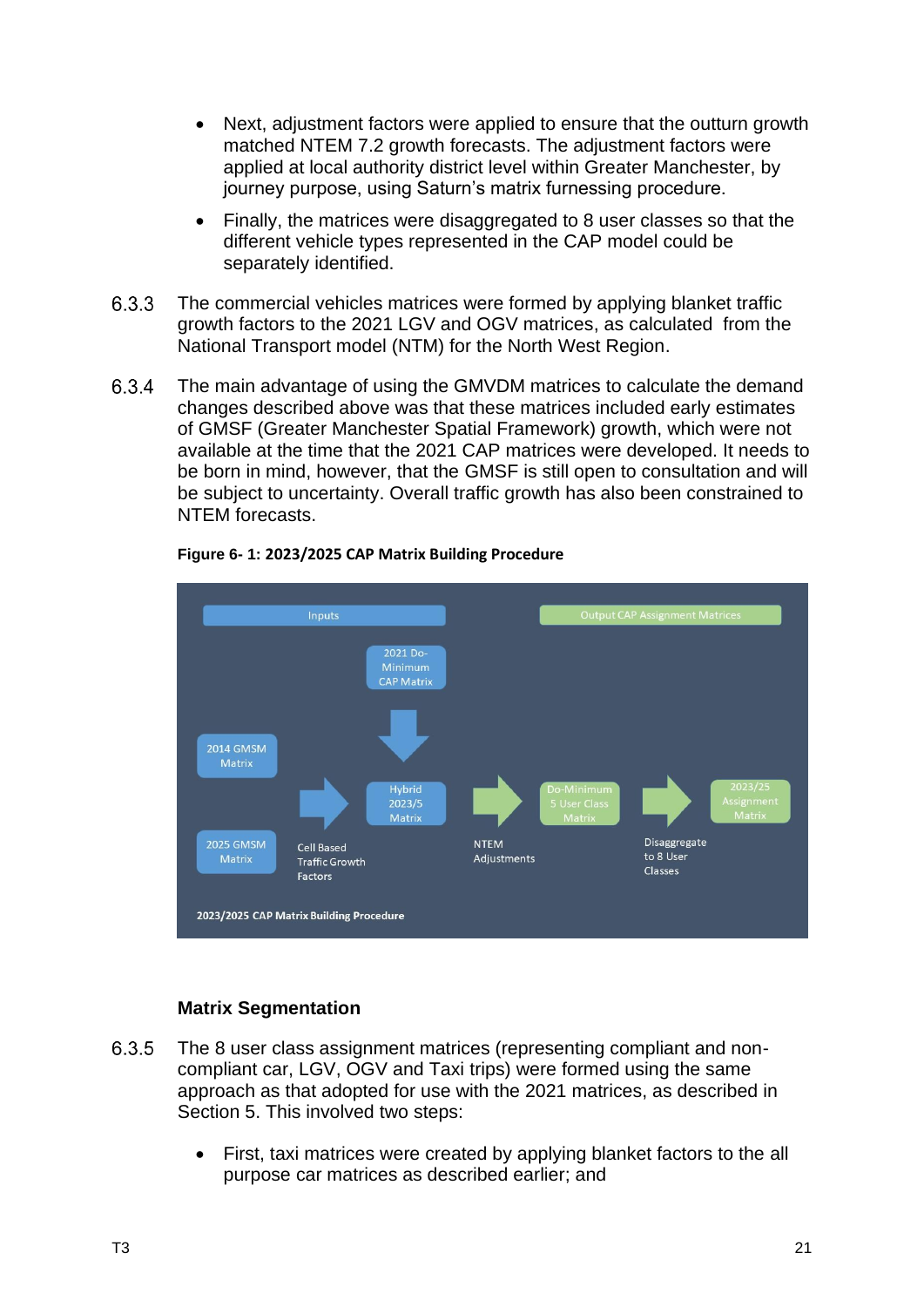- Next, adjustment factors were applied to ensure that the outturn growth matched NTEM 7.2 growth forecasts. The adjustment factors were applied at local authority district level within Greater Manchester, by journey purpose, using Saturn's matrix furnessing procedure.
- Finally, the matrices were disaggregated to 8 user classes so that the different vehicle types represented in the CAP model could be separately identified.
- 6.3.3 The commercial vehicles matrices were formed by applying blanket traffic growth factors to the 2021 LGV and OGV matrices, as calculated from the National Transport model (NTM) for the North West Region.
- 6.3.4 The main advantage of using the GMVDM matrices to calculate the demand changes described above was that these matrices included early estimates of GMSF (Greater Manchester Spatial Framework) growth, which were not available at the time that the 2021 CAP matrices were developed. It needs to be born in mind, however, that the GMSF is still open to consultation and will be subject to uncertainty. Overall traffic growth has also been constrained to NTEM forecasts.

<span id="page-23-0"></span>

### **Figure 6- 1: 2023/2025 CAP Matrix Building Procedure**

### **Matrix Segmentation**

- 6.3.5 The 8 user class assignment matrices (representing compliant and noncompliant car, LGV, OGV and Taxi trips) were formed using the same approach as that adopted for use with the 2021 matrices, as described in Section 5. This involved two steps:
	- First, taxi matrices were created by applying blanket factors to the all purpose car matrices as described earlier; and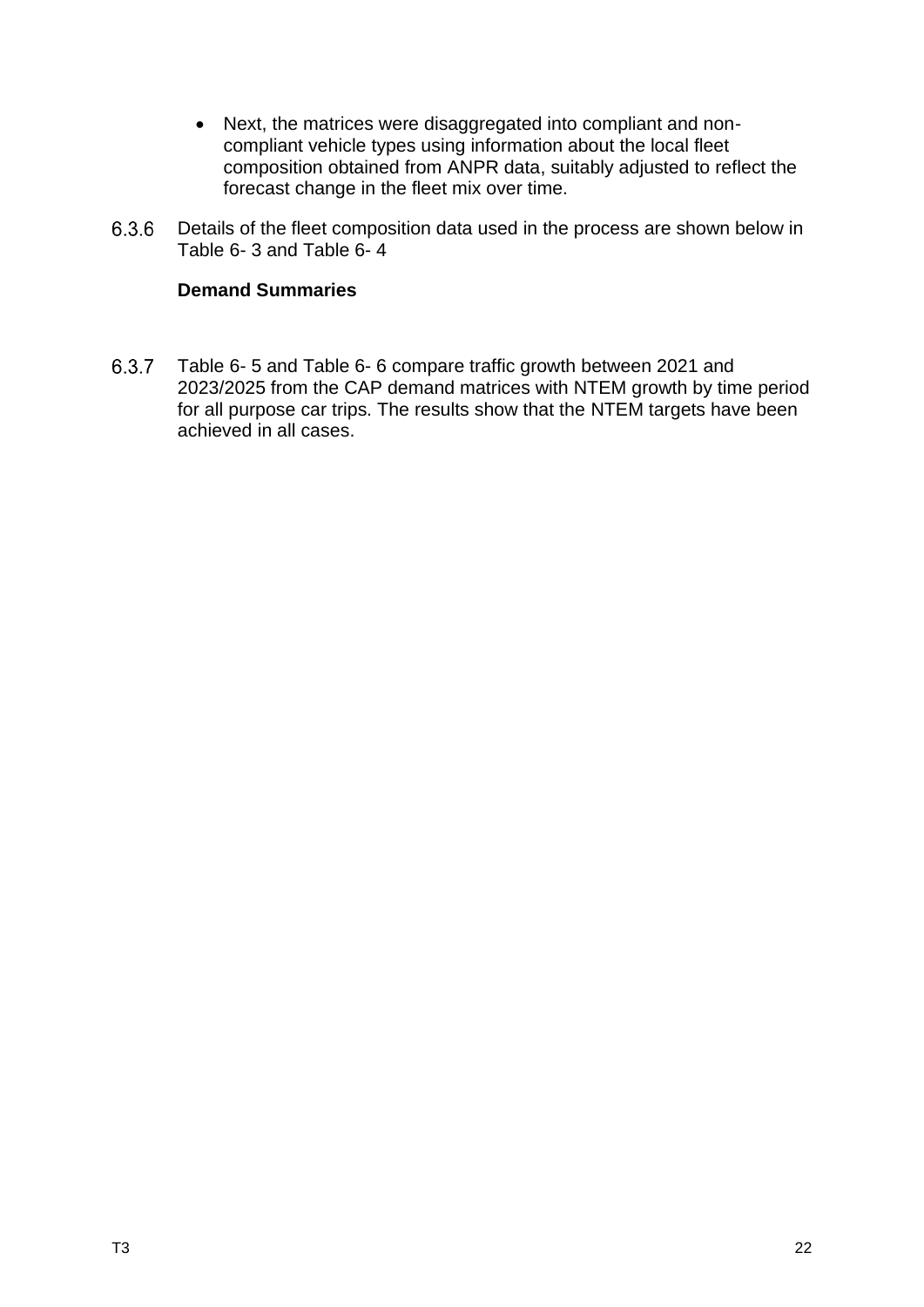- Next, the matrices were disaggregated into compliant and noncompliant vehicle types using information about the local fleet composition obtained from ANPR data, suitably adjusted to reflect the forecast change in the fleet mix over time.
- 6.3.6 Details of the fleet composition data used in the process are shown below in [Table 6-](#page-26-0) 3 and [Table 6-](#page-27-0) 4

### **Demand Summaries**

6.3.7 [Table 6-](#page-27-1) 5 and [Table 6-](#page-28-0) 6 compare traffic growth between 2021 and 2023/2025 from the CAP demand matrices with NTEM growth by time period for all purpose car trips. The results show that the NTEM targets have been achieved in all cases.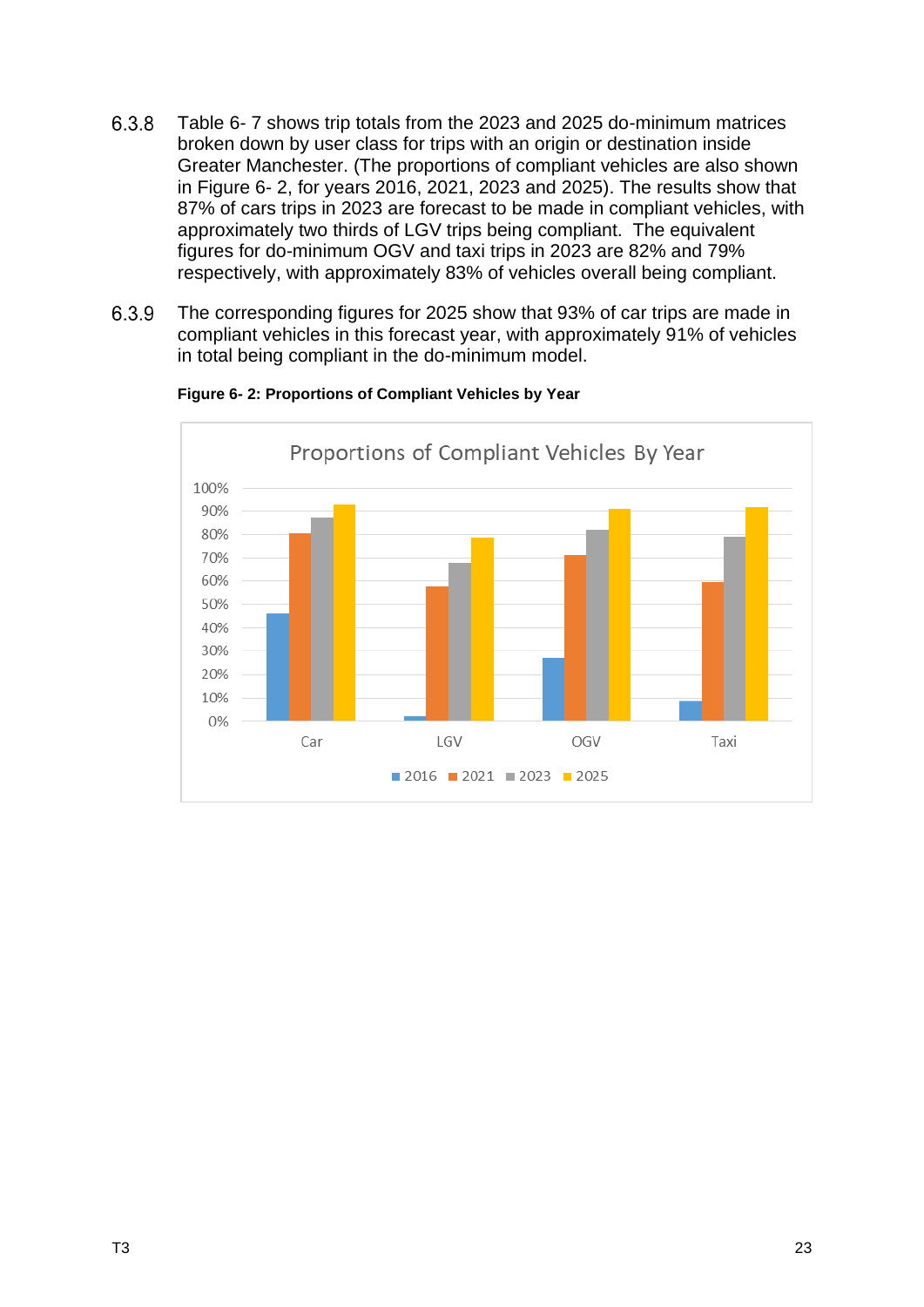- 6.3.8 [Table 6-](#page-28-1) 7 shows trip totals from the 2023 and 2025 do-minimum matrices broken down by user class for trips with an origin or destination inside Greater Manchester. (The proportions of compliant vehicles are also shown in [Figure 6-](#page-25-0) 2, for years 2016, 2021, 2023 and 2025). The results show that 87% of cars trips in 2023 are forecast to be made in compliant vehicles, with approximately two thirds of LGV trips being compliant. The equivalent figures for do-minimum OGV and taxi trips in 2023 are 82% and 79% respectively, with approximately 83% of vehicles overall being compliant.
- 6.3.9 The corresponding figures for 2025 show that 93% of car trips are made in compliant vehicles in this forecast year, with approximately 91% of vehicles in total being compliant in the do-minimum model.

<span id="page-25-0"></span>

### **Figure 6- 2: Proportions of Compliant Vehicles by Year**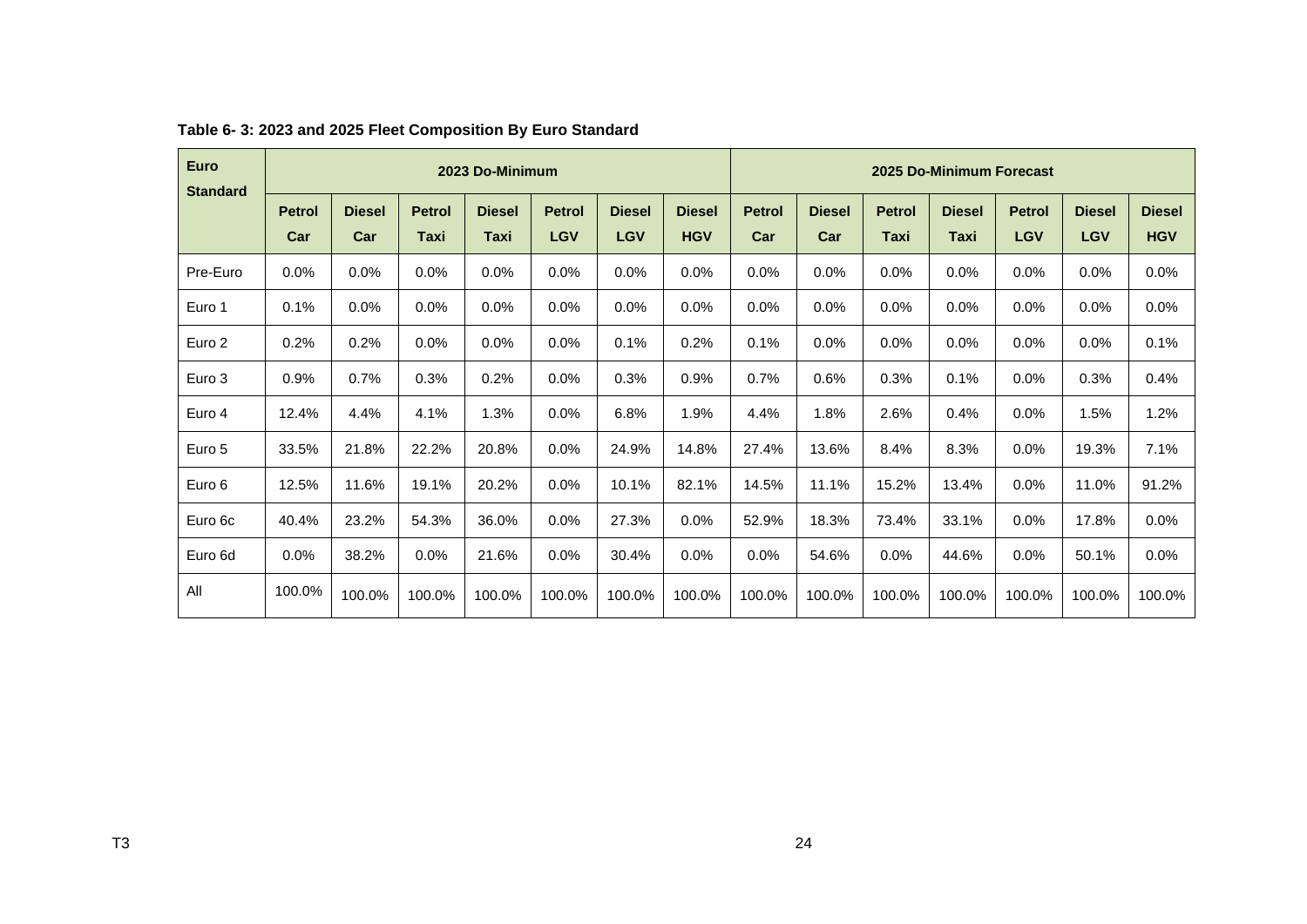<span id="page-26-0"></span>

| <b>Euro</b><br><b>Standard</b> | 2023 Do-Minimum      |                      |                       |                       |                             | 2025 Do-Minimum Forecast    |                             |                      |                      |                       |                       |                             |                             |                             |
|--------------------------------|----------------------|----------------------|-----------------------|-----------------------|-----------------------------|-----------------------------|-----------------------------|----------------------|----------------------|-----------------------|-----------------------|-----------------------------|-----------------------------|-----------------------------|
|                                | <b>Petrol</b><br>Car | <b>Diesel</b><br>Car | <b>Petrol</b><br>Taxi | <b>Diesel</b><br>Taxi | <b>Petrol</b><br><b>LGV</b> | <b>Diesel</b><br><b>LGV</b> | <b>Diesel</b><br><b>HGV</b> | <b>Petrol</b><br>Car | <b>Diesel</b><br>Car | <b>Petrol</b><br>Taxi | <b>Diesel</b><br>Taxi | <b>Petrol</b><br><b>LGV</b> | <b>Diesel</b><br><b>LGV</b> | <b>Diesel</b><br><b>HGV</b> |
|                                |                      |                      |                       |                       |                             |                             |                             |                      |                      |                       |                       |                             |                             |                             |
| Pre-Euro                       | 0.0%                 | 0.0%                 | 0.0%                  | 0.0%                  | 0.0%                        | 0.0%                        | 0.0%                        | 0.0%                 | 0.0%                 | 0.0%                  | 0.0%                  | 0.0%                        | $0.0\%$                     | $0.0\%$                     |
| Euro 1                         | 0.1%                 | 0.0%                 | 0.0%                  | 0.0%                  | 0.0%                        | 0.0%                        | 0.0%                        | 0.0%                 | 0.0%                 | 0.0%                  | 0.0%                  | 0.0%                        | 0.0%                        | 0.0%                        |
| Euro 2                         | 0.2%                 | 0.2%                 | 0.0%                  | 0.0%                  | 0.0%                        | 0.1%                        | 0.2%                        | 0.1%                 | $0.0\%$              | 0.0%                  | 0.0%                  | 0.0%                        | $0.0\%$                     | 0.1%                        |
| Euro 3                         | 0.9%                 | 0.7%                 | 0.3%                  | 0.2%                  | 0.0%                        | 0.3%                        | 0.9%                        | 0.7%                 | 0.6%                 | 0.3%                  | 0.1%                  | 0.0%                        | 0.3%                        | 0.4%                        |
| Euro 4                         | 12.4%                | 4.4%                 | 4.1%                  | 1.3%                  | 0.0%                        | 6.8%                        | 1.9%                        | 4.4%                 | 1.8%                 | 2.6%                  | 0.4%                  | 0.0%                        | 1.5%                        | 1.2%                        |
| Euro 5                         | 33.5%                | 21.8%                | 22.2%                 | 20.8%                 | 0.0%                        | 24.9%                       | 14.8%                       | 27.4%                | 13.6%                | 8.4%                  | 8.3%                  | 0.0%                        | 19.3%                       | 7.1%                        |
| Euro 6                         | 12.5%                | 11.6%                | 19.1%                 | 20.2%                 | 0.0%                        | 10.1%                       | 82.1%                       | 14.5%                | 11.1%                | 15.2%                 | 13.4%                 | 0.0%                        | 11.0%                       | 91.2%                       |
| Euro 6c                        | 40.4%                | 23.2%                | 54.3%                 | 36.0%                 | 0.0%                        | 27.3%                       | 0.0%                        | 52.9%                | 18.3%                | 73.4%                 | 33.1%                 | 0.0%                        | 17.8%                       | 0.0%                        |
| Euro 6d                        | $0.0\%$              | 38.2%                | 0.0%                  | 21.6%                 | $0.0\%$                     | 30.4%                       | $0.0\%$                     | 0.0%                 | 54.6%                | 0.0%                  | 44.6%                 | 0.0%                        | 50.1%                       | $0.0\%$                     |
| All                            | 100.0%               | 100.0%               | 100.0%                | 100.0%                | 100.0%                      | 100.0%                      | 100.0%                      | 100.0%               | 100.0%               | 100.0%                | 100.0%                | 100.0%                      | 100.0%                      | 100.0%                      |

### **Table 6- 3: 2023 and 2025 Fleet Composition By Euro Standard**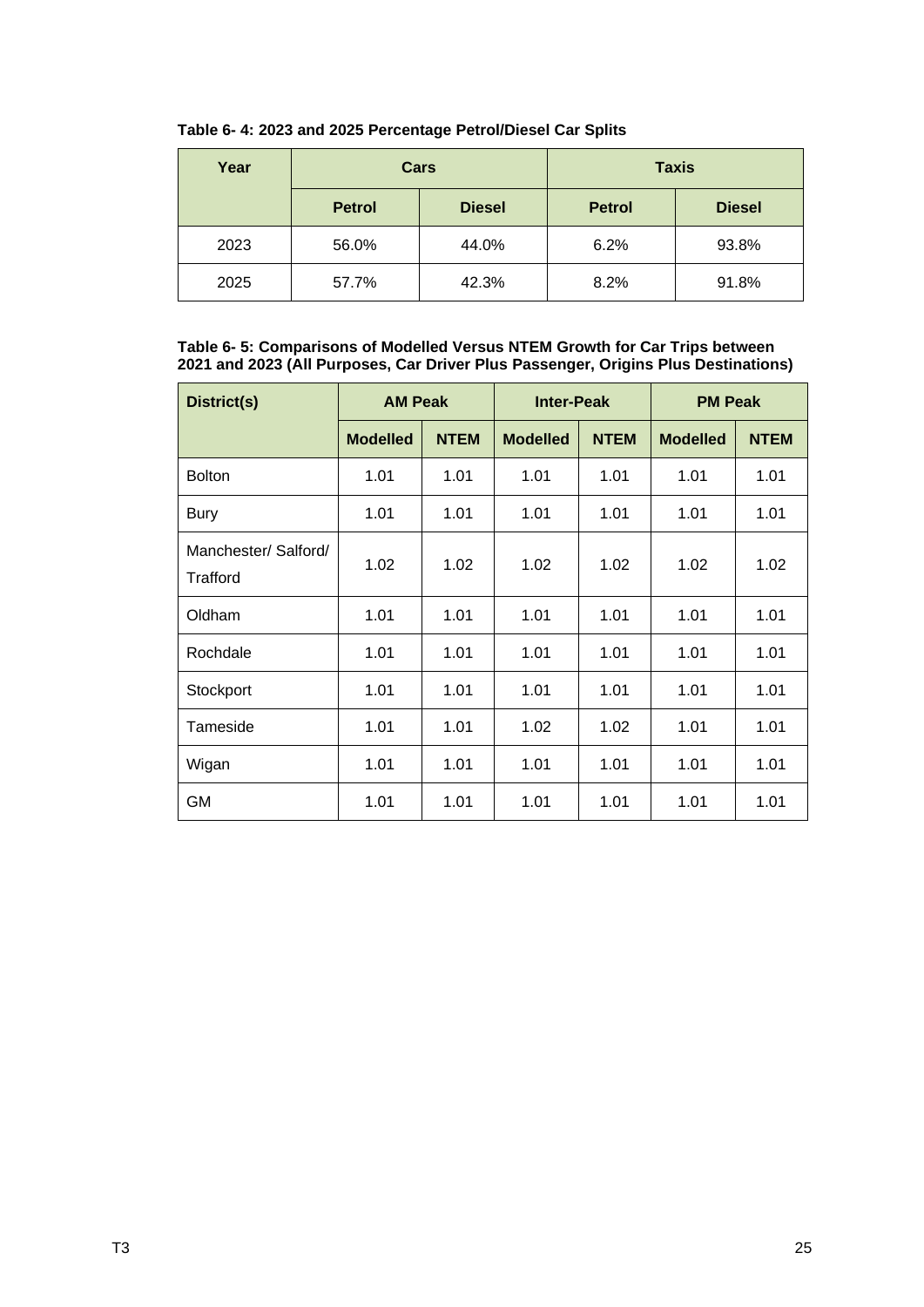| Year |               | Cars          |               | <b>Taxis</b>  |
|------|---------------|---------------|---------------|---------------|
|      | <b>Petrol</b> | <b>Diesel</b> | <b>Petrol</b> | <b>Diesel</b> |
| 2023 | 56.0%         | 44.0%         | 6.2%          | 93.8%         |
| 2025 | 57.7%         | 42.3%         | 8.2%          | 91.8%         |

### <span id="page-27-0"></span>**Table 6- 4: 2023 and 2025 Percentage Petrol/Diesel Car Splits**

#### <span id="page-27-1"></span>**Table 6- 5: Comparisons of Modelled Versus NTEM Growth for Car Trips between 2021 and 2023 (All Purposes, Car Driver Plus Passenger, Origins Plus Destinations)**

| District(s)                      | <b>AM Peak</b>  |             | <b>Inter-Peak</b> |             | <b>PM Peak</b>  |             |  |
|----------------------------------|-----------------|-------------|-------------------|-------------|-----------------|-------------|--|
|                                  | <b>Modelled</b> | <b>NTEM</b> | <b>Modelled</b>   | <b>NTEM</b> | <b>Modelled</b> | <b>NTEM</b> |  |
| <b>Bolton</b>                    | 1.01            | 1.01        | 1.01              | 1.01        | 1.01            | 1.01        |  |
| <b>Bury</b>                      | 1.01            | 1.01        | 1.01              | 1.01        | 1.01            | 1.01        |  |
| Manchester/ Salford/<br>Trafford | 1.02            | 1.02        | 1.02              | 1.02        | 1.02            | 1.02        |  |
| Oldham                           | 1.01            | 1.01        | 1.01              | 1.01        | 1.01            | 1.01        |  |
| Rochdale                         | 1.01            | 1.01        | 1.01              | 1.01        | 1.01            | 1.01        |  |
| Stockport                        | 1.01            | 1.01        | 1.01              | 1.01        | 1.01            | 1.01        |  |
| Tameside                         | 1.01            | 1.01        | 1.02              | 1.02        | 1.01            | 1.01        |  |
| Wigan                            | 1.01            | 1.01        | 1.01              | 1.01        | 1.01            | 1.01        |  |
| <b>GM</b>                        | 1.01            | 1.01        | 1.01              | 1.01        | 1.01            | 1.01        |  |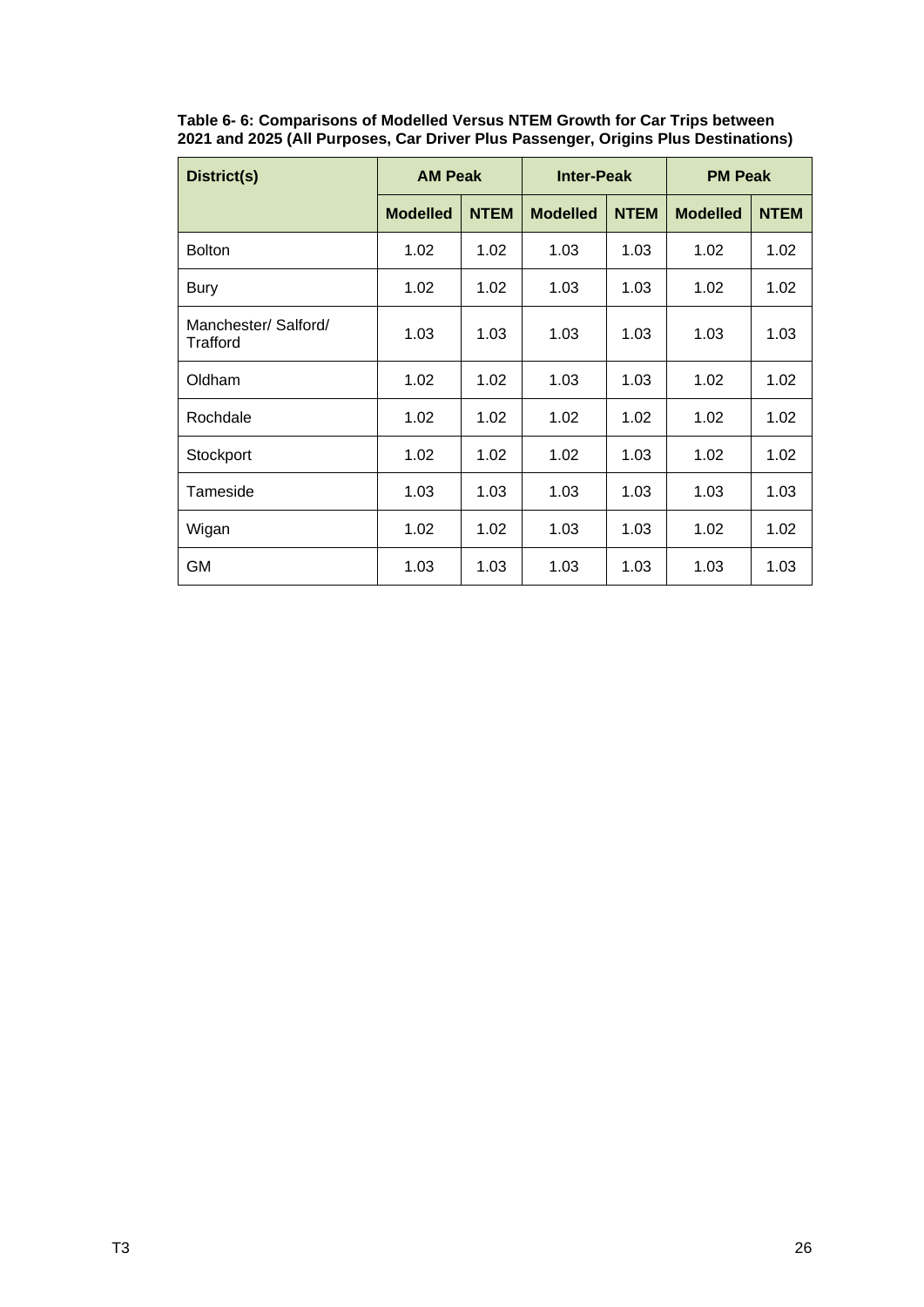<span id="page-28-1"></span>

| District(s)                      | <b>AM Peak</b>  |             | <b>Inter-Peak</b> |             | <b>PM Peak</b>  |             |  |
|----------------------------------|-----------------|-------------|-------------------|-------------|-----------------|-------------|--|
|                                  | <b>Modelled</b> | <b>NTEM</b> | <b>Modelled</b>   | <b>NTEM</b> | <b>Modelled</b> | <b>NTEM</b> |  |
| <b>Bolton</b>                    | 1.02            | 1.02        | 1.03              | 1.03        | 1.02            | 1.02        |  |
| Bury                             | 1.02            | 1.02        | 1.03              | 1.03        | 1.02            | 1.02        |  |
| Manchester/ Salford/<br>Trafford | 1.03            | 1.03        | 1.03              | 1.03        | 1.03            | 1.03        |  |
| Oldham                           | 1.02            | 1.02        | 1.03              | 1.03        | 1.02            | 1.02        |  |
| Rochdale                         | 1.02            | 1.02        | 1.02              | 1.02        | 1.02            | 1.02        |  |
| Stockport                        | 1.02            | 1.02        | 1.02              | 1.03        | 1.02            | 1.02        |  |
| Tameside                         | 1.03            | 1.03        | 1.03              | 1.03        | 1.03            | 1.03        |  |
| Wigan                            | 1.02            | 1.02        | 1.03              | 1.03        | 1.02            | 1.02        |  |
| <b>GM</b>                        | 1.03            | 1.03        | 1.03              | 1.03        | 1.03            | 1.03        |  |

<span id="page-28-0"></span>**Table 6- 6: Comparisons of Modelled Versus NTEM Growth for Car Trips between 2021 and 2025 (All Purposes, Car Driver Plus Passenger, Origins Plus Destinations)**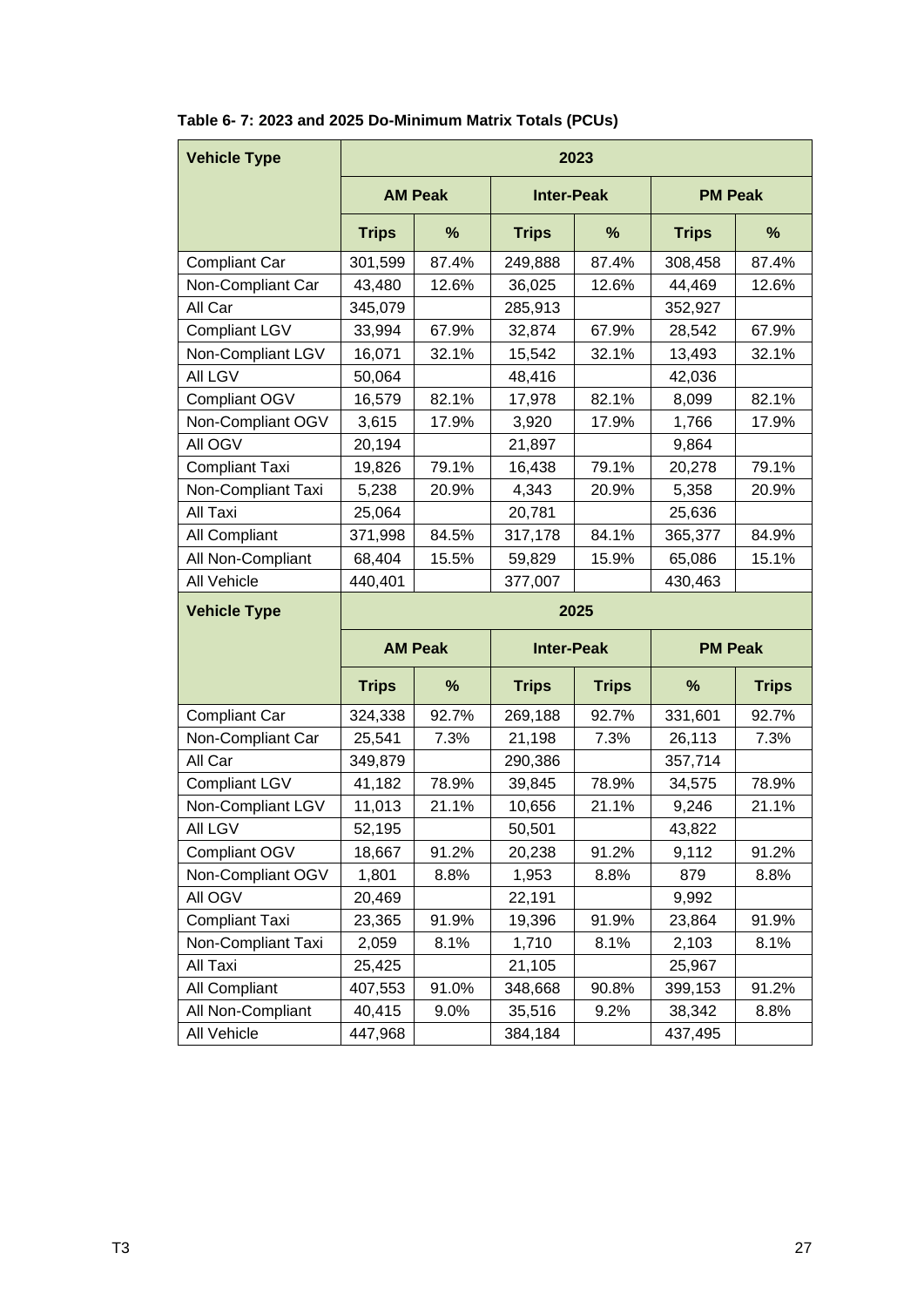| <b>Vehicle Type</b>   | 2023           |                |                   |              |                |              |  |  |  |
|-----------------------|----------------|----------------|-------------------|--------------|----------------|--------------|--|--|--|
|                       | <b>AM Peak</b> |                | <b>Inter-Peak</b> |              | <b>PM Peak</b> |              |  |  |  |
|                       | <b>Trips</b>   | %              | <b>Trips</b>      | %            | <b>Trips</b>   | %            |  |  |  |
| <b>Compliant Car</b>  | 301,599        | 87.4%          | 249,888           | 87.4%        | 308,458        | 87.4%        |  |  |  |
| Non-Compliant Car     | 43,480         | 12.6%          | 36,025            | 12.6%        | 44,469         | 12.6%        |  |  |  |
| All Car               | 345,079        |                | 285,913           |              | 352,927        |              |  |  |  |
| <b>Compliant LGV</b>  | 33,994         | 67.9%          | 32,874            | 67.9%        | 28,542         | 67.9%        |  |  |  |
| Non-Compliant LGV     | 16,071         | 32.1%          | 15,542            | 32.1%        | 13,493         | 32.1%        |  |  |  |
| All LGV               | 50,064         |                | 48,416            |              | 42,036         |              |  |  |  |
| Compliant OGV         | 16,579         | 82.1%          | 17,978            | 82.1%        | 8,099          | 82.1%        |  |  |  |
| Non-Compliant OGV     | 3,615          | 17.9%          | 3,920             | 17.9%        | 1,766          | 17.9%        |  |  |  |
| All OGV               | 20,194         |                | 21,897            |              | 9,864          |              |  |  |  |
| <b>Compliant Taxi</b> | 19,826         | 79.1%          | 16,438            | 79.1%        | 20,278         | 79.1%        |  |  |  |
| Non-Compliant Taxi    | 5,238          | 20.9%          | 4,343             | 20.9%        | 5,358          | 20.9%        |  |  |  |
| All Taxi              | 25,064         |                | 20,781            |              | 25,636         |              |  |  |  |
| All Compliant         | 371,998        | 84.5%          | 317,178           | 84.1%        | 365,377        | 84.9%        |  |  |  |
| All Non-Compliant     | 68,404         | 15.5%          | 59,829            | 15.9%        | 65,086         | 15.1%        |  |  |  |
| All Vehicle           | 440,401        |                | 377,007           |              | 430,463        |              |  |  |  |
| <b>Vehicle Type</b>   | 2025           |                |                   |              |                |              |  |  |  |
|                       |                | <b>AM Peak</b> | <b>Inter-Peak</b> |              | <b>PM Peak</b> |              |  |  |  |
|                       | <b>Trips</b>   | %              | <b>Trips</b>      | <b>Trips</b> | %              | <b>Trips</b> |  |  |  |
| <b>Compliant Car</b>  | 324,338        | 92.7%          | 269,188           | 92.7%        | 331,601        | 92.7%        |  |  |  |
| Non-Compliant Car     | 25,541         | 7.3%           | 21,198            | 7.3%         | 26,113         | 7.3%         |  |  |  |
| All Car               | 349,879        |                | 290,386           |              | 357,714        |              |  |  |  |
| <b>Compliant LGV</b>  | 41,182         | 78.9%          | 39,845            | 78.9%        | 34,575         | 78.9%        |  |  |  |
| Non-Compliant LGV     | 11,013         | 21.1%          | 10,656            | 21.1%        | 9,246          | 21.1%        |  |  |  |
| All LGV               | 52,195         |                | 50,501            |              | 43,822         |              |  |  |  |
| Compliant OGV         | 18,667         | 91.2%          | 20,238            | 91.2%        | 9,112          | 91.2%        |  |  |  |
| Non-Compliant OGV     | 1,801          | 8.8%           | 1,953             | 8.8%         | 879            | 8.8%         |  |  |  |
| All OGV               | 20,469         |                | 22,191            |              | 9,992          |              |  |  |  |
| <b>Compliant Taxi</b> | 23,365         | 91.9%          | 19,396            | 91.9%        | 23,864         | 91.9%        |  |  |  |
| Non-Compliant Taxi    | 2,059          | 8.1%           | 1,710             | 8.1%         | 2,103          | 8.1%         |  |  |  |
| All Taxi              | 25,425         |                | 21,105            |              | 25,967         |              |  |  |  |
| All Compliant         | 407,553        | 91.0%          | 348,668           | 90.8%        | 399,153        | 91.2%        |  |  |  |
| All Non-Compliant     | 40,415         | 9.0%           | 35,516            | 9.2%         | 38,342         | 8.8%         |  |  |  |
| All Vehicle           | 447,968        |                | 384,184           |              | 437,495        |              |  |  |  |

### **Table 6- 7: 2023 and 2025 Do-Minimum Matrix Totals (PCUs)**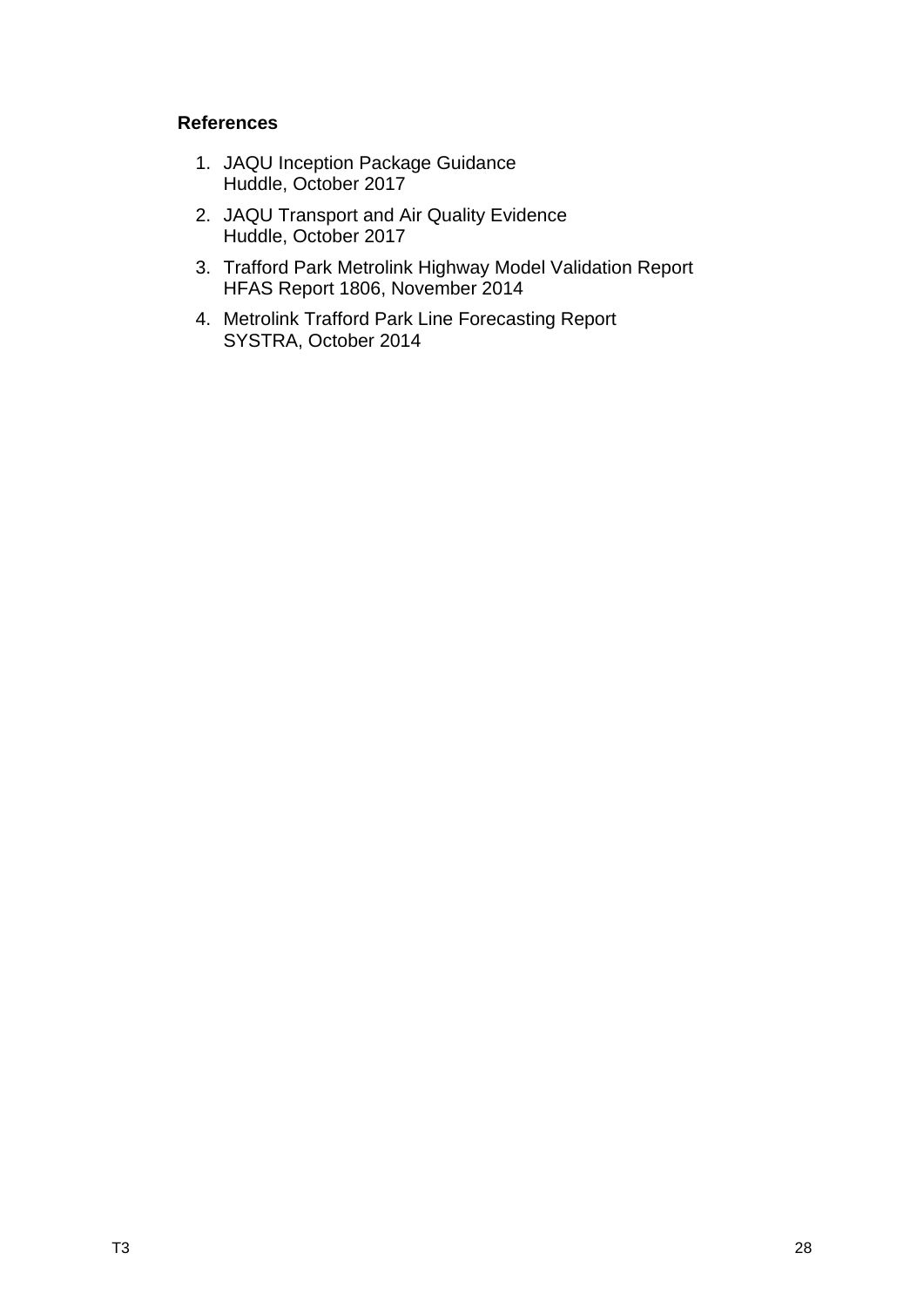### <span id="page-30-0"></span>**References**

- 1. JAQU Inception Package Guidance Huddle, October 2017
- 2. JAQU Transport and Air Quality Evidence Huddle, October 2017
- 3. Trafford Park Metrolink Highway Model Validation Report HFAS Report 1806, November 2014
- 4. Metrolink Trafford Park Line Forecasting Report SYSTRA, October 2014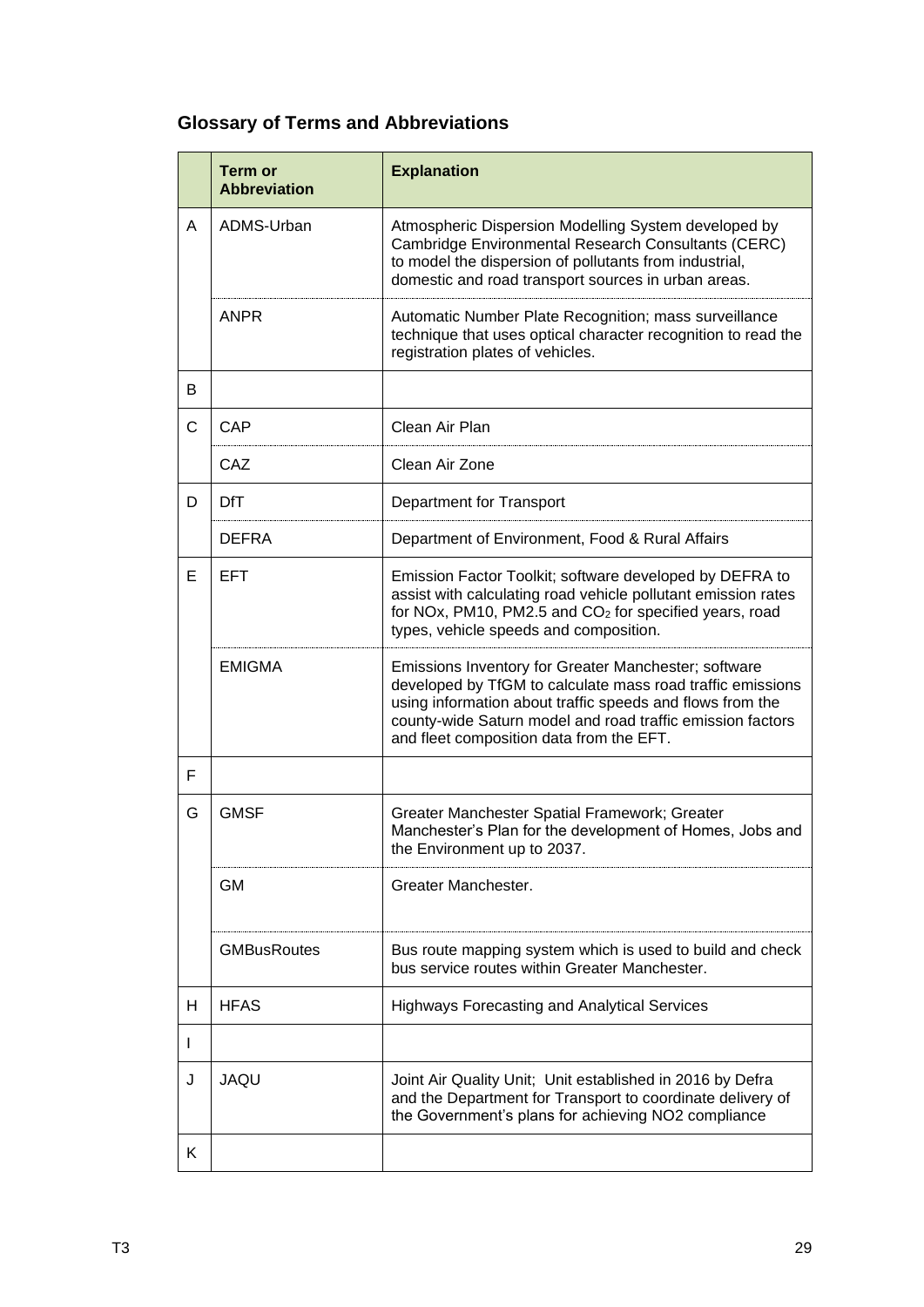## <span id="page-31-0"></span>**Glossary of Terms and Abbreviations**

|   | <b>Term or</b><br><b>Abbreviation</b> | <b>Explanation</b>                                                                                                                                                                                                                                                                        |  |  |  |  |
|---|---------------------------------------|-------------------------------------------------------------------------------------------------------------------------------------------------------------------------------------------------------------------------------------------------------------------------------------------|--|--|--|--|
| A | ADMS-Urban                            | Atmospheric Dispersion Modelling System developed by<br>Cambridge Environmental Research Consultants (CERC)<br>to model the dispersion of pollutants from industrial,<br>domestic and road transport sources in urban areas.                                                              |  |  |  |  |
|   | <b>ANPR</b>                           | Automatic Number Plate Recognition; mass surveillance<br>technique that uses optical character recognition to read the<br>registration plates of vehicles.                                                                                                                                |  |  |  |  |
| В |                                       |                                                                                                                                                                                                                                                                                           |  |  |  |  |
| C | CAP                                   | Clean Air Plan                                                                                                                                                                                                                                                                            |  |  |  |  |
|   | CAZ                                   | Clean Air Zone                                                                                                                                                                                                                                                                            |  |  |  |  |
| D | <b>DfT</b>                            | Department for Transport                                                                                                                                                                                                                                                                  |  |  |  |  |
|   | <b>DEFRA</b>                          | Department of Environment, Food & Rural Affairs                                                                                                                                                                                                                                           |  |  |  |  |
| E | <b>EFT</b>                            | Emission Factor Toolkit; software developed by DEFRA to<br>assist with calculating road vehicle pollutant emission rates<br>for NOx, PM10, PM2.5 and CO <sub>2</sub> for specified years, road<br>types, vehicle speeds and composition.                                                  |  |  |  |  |
|   | <b>EMIGMA</b>                         | Emissions Inventory for Greater Manchester; software<br>developed by TfGM to calculate mass road traffic emissions<br>using information about traffic speeds and flows from the<br>county-wide Saturn model and road traffic emission factors<br>and fleet composition data from the EFT. |  |  |  |  |
| F |                                       |                                                                                                                                                                                                                                                                                           |  |  |  |  |
| G | <b>GMSF</b>                           | Greater Manchester Spatial Framework; Greater<br>Manchester's Plan for the development of Homes, Jobs and<br>the Environment up to 2037.                                                                                                                                                  |  |  |  |  |
|   | <b>GM</b>                             | Greater Manchester.                                                                                                                                                                                                                                                                       |  |  |  |  |
|   | <b>GMBusRoutes</b>                    | Bus route mapping system which is used to build and check<br>bus service routes within Greater Manchester.                                                                                                                                                                                |  |  |  |  |
| Н | <b>HFAS</b>                           | <b>Highways Forecasting and Analytical Services</b>                                                                                                                                                                                                                                       |  |  |  |  |
| I |                                       |                                                                                                                                                                                                                                                                                           |  |  |  |  |
| J | <b>JAQU</b>                           | Joint Air Quality Unit; Unit established in 2016 by Defra<br>and the Department for Transport to coordinate delivery of<br>the Government's plans for achieving NO2 compliance                                                                                                            |  |  |  |  |
| Κ |                                       |                                                                                                                                                                                                                                                                                           |  |  |  |  |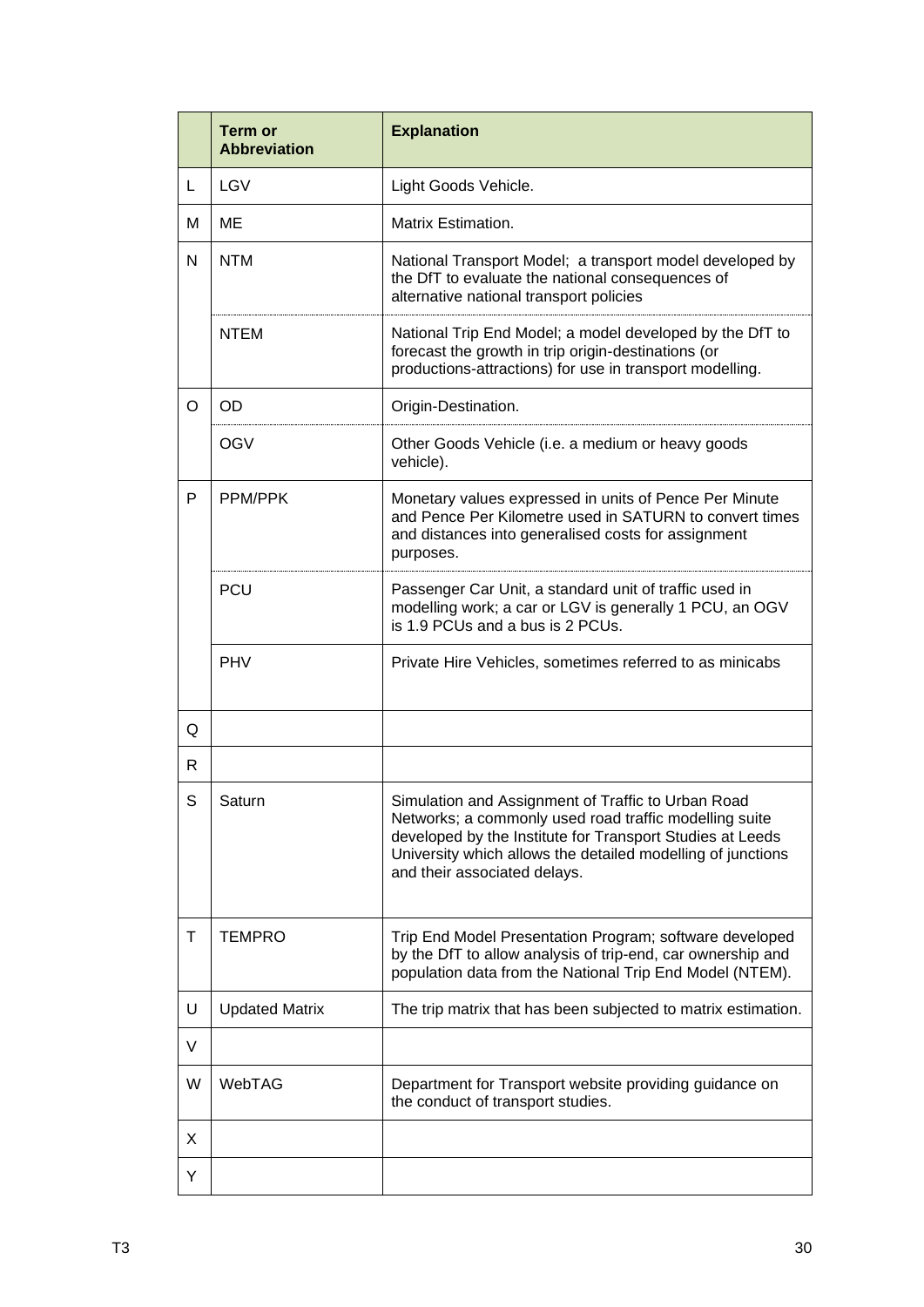|   | <b>Term or</b><br><b>Abbreviation</b> | <b>Explanation</b>                                                                                                                                                                                                                                                       |
|---|---------------------------------------|--------------------------------------------------------------------------------------------------------------------------------------------------------------------------------------------------------------------------------------------------------------------------|
| L | <b>LGV</b>                            | Light Goods Vehicle.                                                                                                                                                                                                                                                     |
| м | ME                                    | Matrix Estimation.                                                                                                                                                                                                                                                       |
| N | <b>NTM</b>                            | National Transport Model; a transport model developed by<br>the DfT to evaluate the national consequences of<br>alternative national transport policies                                                                                                                  |
|   | <b>NTEM</b>                           | National Trip End Model; a model developed by the DfT to<br>forecast the growth in trip origin-destinations (or<br>productions-attractions) for use in transport modelling.                                                                                              |
| O | <b>OD</b>                             | Origin-Destination.                                                                                                                                                                                                                                                      |
|   | <b>OGV</b>                            | Other Goods Vehicle (i.e. a medium or heavy goods<br>vehicle).                                                                                                                                                                                                           |
| P | PPM/PPK                               | Monetary values expressed in units of Pence Per Minute<br>and Pence Per Kilometre used in SATURN to convert times<br>and distances into generalised costs for assignment<br>purposes.                                                                                    |
|   | <b>PCU</b>                            | Passenger Car Unit, a standard unit of traffic used in<br>modelling work; a car or LGV is generally 1 PCU, an OGV<br>is 1.9 PCUs and a bus is 2 PCUs.                                                                                                                    |
|   | <b>PHV</b>                            | Private Hire Vehicles, sometimes referred to as minicabs                                                                                                                                                                                                                 |
| Q |                                       |                                                                                                                                                                                                                                                                          |
| R |                                       |                                                                                                                                                                                                                                                                          |
| S | Saturn                                | Simulation and Assignment of Traffic to Urban Road<br>Networks; a commonly used road traffic modelling suite<br>developed by the Institute for Transport Studies at Leeds<br>University which allows the detailed modelling of junctions<br>and their associated delays. |
| Τ | <b>TEMPRO</b>                         | Trip End Model Presentation Program; software developed<br>by the DfT to allow analysis of trip-end, car ownership and<br>population data from the National Trip End Model (NTEM).                                                                                       |
| U | <b>Updated Matrix</b>                 | The trip matrix that has been subjected to matrix estimation.                                                                                                                                                                                                            |
| V |                                       |                                                                                                                                                                                                                                                                          |
| W | WebTAG                                | Department for Transport website providing guidance on<br>the conduct of transport studies.                                                                                                                                                                              |
| X |                                       |                                                                                                                                                                                                                                                                          |
| Y |                                       |                                                                                                                                                                                                                                                                          |